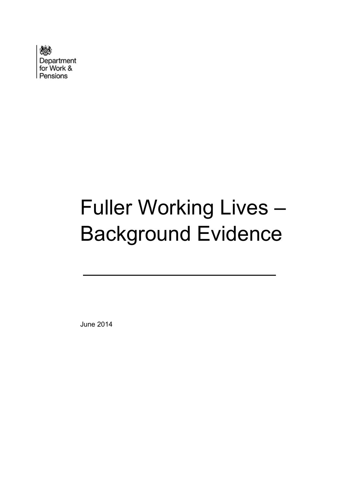

# Fuller Working Lives – Background Evidence

June 2014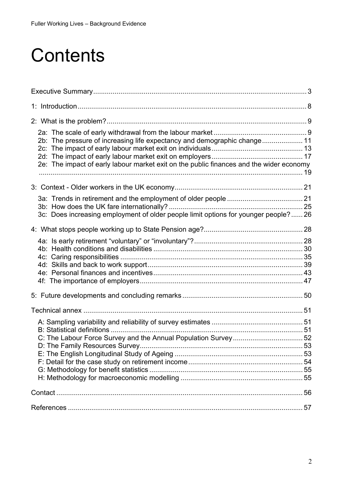## **Contents**

| 2b: The pressure of increasing life expectancy and demographic change 11<br>2e: The impact of early labour market exit on the public finances and the wider economy |  |
|---------------------------------------------------------------------------------------------------------------------------------------------------------------------|--|
|                                                                                                                                                                     |  |
| 3c: Does increasing employment of older people limit options for younger people? 26                                                                                 |  |
|                                                                                                                                                                     |  |
|                                                                                                                                                                     |  |
|                                                                                                                                                                     |  |
|                                                                                                                                                                     |  |
|                                                                                                                                                                     |  |
|                                                                                                                                                                     |  |
|                                                                                                                                                                     |  |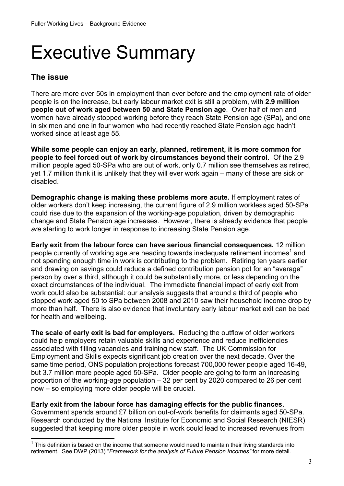## <span id="page-2-0"></span>Executive Summary

#### **The issue**

There are more over 50s in employment than ever before and the employment rate of older people is on the increase, but early labour market exit is still a problem, with **2.9 million people out of work aged between 50 and State Pension age**. Over half of men and women have already stopped working before they reach State Pension age (SPa), and one in six men and one in four women who had recently reached State Pension age hadn't worked since at least age 55.

**While some people can enjoy an early, planned, retirement, it is more common for people to feel forced out of work by circumstances beyond their control.** Of the 2.9 million people aged 50-SPa who are out of work, only 0.7 million see themselves as retired, yet 1.7 million think it is unlikely that they will ever work again – many of these are sick or disabled.

**Demographic change is making these problems more acute.** If employment rates of older workers don't keep increasing, the current figure of 2.9 million workless aged 50-SPa could rise due to the expansion of the working-age population, driven by demographic change and State Pension age increases. However, there is already evidence that people *are* starting to work longer in response to increasing State Pension age.

**Early exit from the labour force can have serious financial consequences.** 12 million people currently of working age are heading towards inadequate retirement incomes<sup>1</sup> and not spending enough time in work is contributing to the problem. Retiring ten years earlier and drawing on savings could reduce a defined contribution pension pot for an "average" person by over a third, although it could be substantially more, or less depending on the exact circumstances of the individual. The immediate financial impact of early exit from work could also be substantial: our analysis suggests that around a third of people who stopped work aged 50 to SPa between 2008 and 2010 saw their household income drop by more than half. There is also evidence that involuntary early labour market exit can be bad for health and wellbeing.

**The scale of early exit is bad for employers.** Reducing the outflow of older workers could help employers retain valuable skills and experience and reduce inefficiencies associated with filling vacancies and training new staff. The UK Commission for Employment and Skills expects significant job creation over the next decade. Over the same time period, ONS population projections forecast 700,000 fewer people aged 16-49, but 3.7 million more people aged 50-SPa. Older people are going to form an increasing proportion of the working-age population – 32 per cent by 2020 compared to 26 per cent now – so employing more older people will be crucial.

**Early exit from the labour force has damaging effects for the public finances.** 

Government spends around £7 billion on out-of-work benefits for claimants aged 50-SPa. Research conducted by the National Institute for Economic and Social Research (NIESR) suggested that keeping more older people in work could lead to increased revenues from

 $\overline{a}$  $1$  This definition is based on the income that someone would need to maintain their living standards into retirement. See DWP (2013) "*Framework for the analysis of Future Pension Incomes"* for more detail.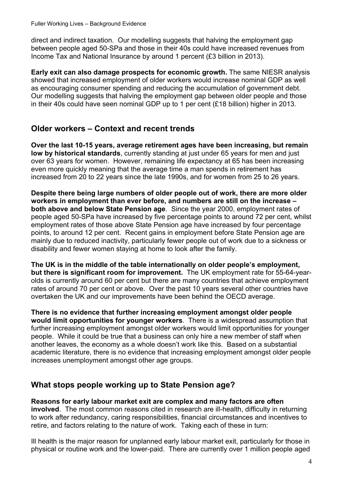direct and indirect taxation. Our modelling suggests that halving the employment gap between people aged 50-SPa and those in their 40s could have increased revenues from Income Tax and National Insurance by around 1 percent (£3 billion in 2013).

**Early exit can also damage prospects for economic growth.** The same NIESR analysis showed that increased employment of older workers would increase nominal GDP as well as encouraging consumer spending and reducing the accumulation of government debt. Our modelling suggests that halving the employment gap between older people and those in their 40s could have seen nominal GDP up to 1 per cent (£18 billion) higher in 2013.

#### **Older workers – Context and recent trends**

**Over the last 10-15 years, average retirement ages have been increasing, but remain low by historical standards**, currently standing at just under 65 years for men and just over 63 years for women. However, remaining life expectancy at 65 has been increasing even more quickly meaning that the average time a man spends in retirement has increased from 20 to 22 years since the late 1990s, and for women from 25 to 26 years.

**Despite there being large numbers of older people out of work, there are more older workers in employment than ever before, and numbers are still on the increase – both above and below State Pension age**. Since the year 2000, employment rates of people aged 50-SPa have increased by five percentage points to around 72 per cent, whilst employment rates of those above State Pension age have increased by four percentage points, to around 12 per cent. Recent gains in employment before State Pension age are mainly due to reduced inactivity, particularly fewer people out of work due to a sickness or disability and fewer women staying at home to look after the family.

**The UK is in the middle of the table internationally on older people's employment, but there is significant room for improvement.** The UK employment rate for 55-64-yearolds is currently around 60 per cent but there are many countries that achieve employment rates of around 70 per cent or above. Over the past 10 years several other countries have overtaken the UK and our improvements have been behind the OECD average.

**There is no evidence that further increasing employment amongst older people would limit opportunities for younger workers**. There is a widespread assumption that further increasing employment amongst older workers would limit opportunities for younger people. While it could be true that a business can only hire a new member of staff when another leaves, the economy as a whole doesn't work like this. Based on a substantial academic literature, there is no evidence that increasing employment amongst older people increases unemployment amongst other age groups.

#### **What stops people working up to State Pension age?**

**Reasons for early labour market exit are complex and many factors are often involved**. The most common reasons cited in research are ill-health, difficulty in returning to work after redundancy, caring responsibilities, financial circumstances and incentives to retire, and factors relating to the nature of work. Taking each of these in turn:

Ill health is the major reason for unplanned early labour market exit, particularly for those in physical or routine work and the lower-paid. There are currently over 1 million people aged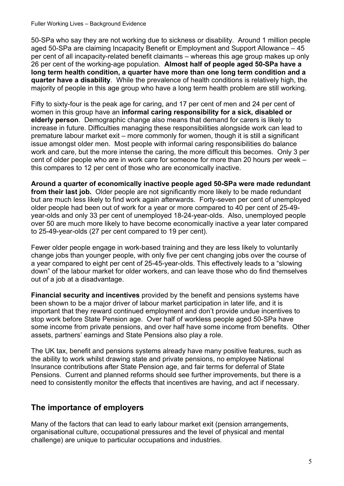#### Fuller Working Lives – Background Evidence

50-SPa who say they are not working due to sickness or disability. Around 1 million people aged 50-SPa are claiming Incapacity Benefit or Employment and Support Allowance – 45 per cent of all incapacity-related benefit claimants – whereas this age group makes up only 26 per cent of the working-age population. **Almost half of people aged 50-SPa have a long term health condition, a quarter have more than one long term condition and a quarter have a disability**. While the prevalence of health conditions is relatively high, the majority of people in this age group who have a long term health problem are still working.

Fifty to sixty-four is the peak age for caring, and 17 per cent of men and 24 per cent of women in this group have an **informal caring responsibility for a sick, disabled or elderly person**. Demographic change also means that demand for carers is likely to increase in future. Difficulties managing these responsibilities alongside work can lead to premature labour market exit – more commonly for women, though it is still a significant issue amongst older men. Most people with informal caring responsibilities do balance work and care, but the more intense the caring, the more difficult this becomes. Only 3 per cent of older people who are in work care for someone for more than 20 hours per week – this compares to 12 per cent of those who are economically inactive.

**Around a quarter of economically inactive people aged 50-SPa were made redundant from their last job.** Older people are not significantly more likely to be made redundant but are much less likely to find work again afterwards. Forty-seven per cent of unemployed older people had been out of work for a year or more compared to 40 per cent of 25-49 year-olds and only 33 per cent of unemployed 18-24-year-olds. Also, unemployed people over 50 are much more likely to have become economically inactive a year later compared to 25-49-year-olds (27 per cent compared to 19 per cent).

Fewer older people engage in work-based training and they are less likely to voluntarily change jobs than younger people, with only five per cent changing jobs over the course of a year compared to eight per cent of 25-45-year-olds. This effectively leads to a "slowing down" of the labour market for older workers, and can leave those who do find themselves out of a job at a disadvantage.

**Financial security and incentives** provided by the benefit and pensions systems have been shown to be a major driver of labour market participation in later life, and it is important that they reward continued employment and don't provide undue incentives to stop work before State Pension age. Over half of workless people aged 50-SPa have some income from private pensions, and over half have some income from benefits. Other assets, partners' earnings and State Pensions also play a role.

The UK tax, benefit and pensions systems already have many positive features, such as the ability to work whilst drawing state and private pensions, no employee National Insurance contributions after State Pension age, and fair terms for deferral of State Pensions. Current and planned reforms should see further improvements, but there is a need to consistently monitor the effects that incentives are having, and act if necessary.

#### **The importance of employers**

Many of the factors that can lead to early labour market exit (pension arrangements, organisational culture, occupational pressures and the level of physical and mental challenge) are unique to particular occupations and industries.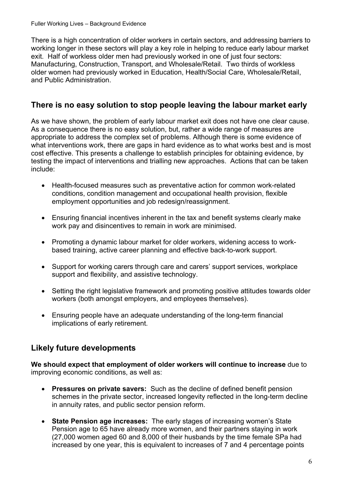Fuller Working Lives – Background Evidence

There is a high concentration of older workers in certain sectors, and addressing barriers to working longer in these sectors will play a key role in helping to reduce early labour market exit. Half of workless older men had previously worked in one of just four sectors: Manufacturing, Construction, Transport, and Wholesale/Retail. Two thirds of workless older women had previously worked in Education, Health/Social Care, Wholesale/Retail, and Public Administration.

#### **There is no easy solution to stop people leaving the labour market early**

As we have shown, the problem of early labour market exit does not have one clear cause. As a consequence there is no easy solution, but, rather a wide range of measures are appropriate to address the complex set of problems. Although there is some evidence of what interventions work, there are gaps in hard evidence as to what works best and is most cost effective. This presents a challenge to establish principles for obtaining evidence, by testing the impact of interventions and trialling new approaches. Actions that can be taken include:

- Health-focused measures such as preventative action for common work-related conditions, condition management and occupational health provision, flexible employment opportunities and job redesign/reassignment.
- Ensuring financial incentives inherent in the tax and benefit systems clearly make work pay and disincentives to remain in work are minimised.
- Promoting a dynamic labour market for older workers, widening access to workbased training, active career planning and effective back-to-work support.
- Support for working carers through care and carers' support services, workplace support and flexibility, and assistive technology.
- Setting the right legislative framework and promoting positive attitudes towards older workers (both amongst employers, and employees themselves).
- Ensuring people have an adequate understanding of the long-term financial implications of early retirement.

#### **Likely future developments**

**We should expect that employment of older workers will continue to increase** due to improving economic conditions, as well as:

- **Pressures on private savers:** Such as the decline of defined benefit pension schemes in the private sector, increased longevity reflected in the long-term decline in annuity rates, and public sector pension reform.
- **State Pension age increases:** The early stages of increasing women's State Pension age to 65 have already more women, and their partners staying in work (27,000 women aged 60 and 8,000 of their husbands by the time female SPa had increased by one year, this is equivalent to increases of 7 and 4 percentage points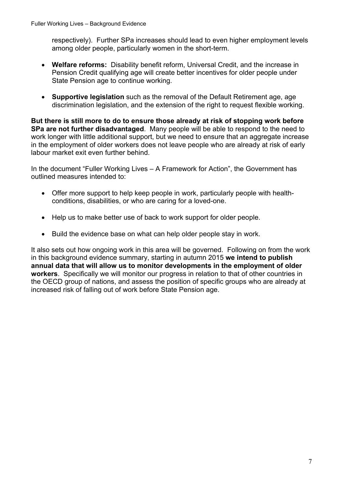respectively). Further SPa increases should lead to even higher employment levels among older people, particularly women in the short-term.

- **Welfare reforms:** Disability benefit reform, Universal Credit, and the increase in Pension Credit qualifying age will create better incentives for older people under State Pension age to continue working.
- **Supportive legislation** such as the removal of the Default Retirement age, age discrimination legislation, and the extension of the right to request flexible working.

**But there is still more to do to ensure those already at risk of stopping work before SPa are not further disadvantaged**. Many people will be able to respond to the need to work longer with little additional support, but we need to ensure that an aggregate increase in the employment of older workers does not leave people who are already at risk of early labour market exit even further behind.

In the document "Fuller Working Lives – A Framework for Action", the Government has outlined measures intended to:

- Offer more support to help keep people in work, particularly people with healthconditions, disabilities, or who are caring for a loved-one.
- Help us to make better use of back to work support for older people.
- Build the evidence base on what can help older people stay in work.

It also sets out how ongoing work in this area will be governed. Following on from the work in this background evidence summary, starting in autumn 2015 **we intend to publish annual data that will allow us to monitor developments in the employment of older workers**. Specifically we will monitor our progress in relation to that of other countries in the OECD group of nations, and assess the position of specific groups who are already at increased risk of falling out of work before State Pension age.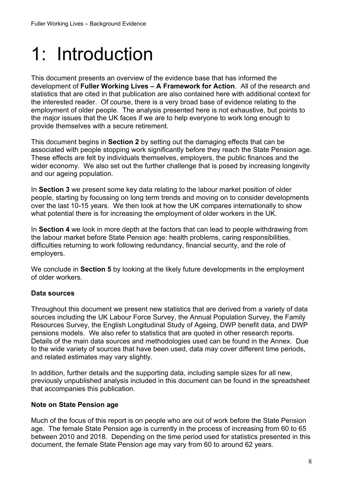## <span id="page-7-0"></span>1: Introduction

This document presents an overview of the evidence base that has informed the development of **Fuller Working Lives – A Framework for Action**. All of the research and statistics that are cited in that publication are also contained here with additional context for the interested reader. Of course, there is a very broad base of evidence relating to the employment of older people. The analysis presented here is not exhaustive, but points to the major issues that the UK faces if we are to help everyone to work long enough to provide themselves with a secure retirement.

This document begins in **Section 2** by setting out the damaging effects that can be associated with people stopping work significantly before they reach the State Pension age. These effects are felt by individuals themselves, employers, the public finances and the wider economy. We also set out the further challenge that is posed by increasing longevity and our ageing population.

In **Section 3** we present some key data relating to the labour market position of older people, starting by focussing on long term trends and moving on to consider developments over the last 10-15 years. We then look at how the UK compares internationally to show what potential there is for increasing the employment of older workers in the UK.

In **Section 4** we look in more depth at the factors that can lead to people withdrawing from the labour market before State Pension age: health problems, caring responsibilities, difficulties returning to work following redundancy, financial security, and the role of employers.

We conclude in **Section 5** by looking at the likely future developments in the employment of older workers.

#### **Data sources**

Throughout this document we present new statistics that are derived from a variety of data sources including the UK Labour Force Survey, the Annual Population Survey, the Family Resources Survey, the English Longitudinal Study of Ageing, DWP benefit data, and DWP pensions models. We also refer to statistics that are quoted in other research reports. Details of the main data sources and methodologies used can be found in the Annex. Due to the wide variety of sources that have been used, data may cover different time periods, and related estimates may vary slightly.

In addition, further details and the supporting data, including sample sizes for all new, previously unpublished analysis included in this document can be found in the spreadsheet that accompanies this publication.

#### **Note on State Pension age**

Much of the focus of this report is on people who are out of work before the State Pension age. The female State Pension age is currently in the process of increasing from 60 to 65 between 2010 and 2018. Depending on the time period used for statistics presented in this document, the female State Pension age may vary from 60 to around 62 years.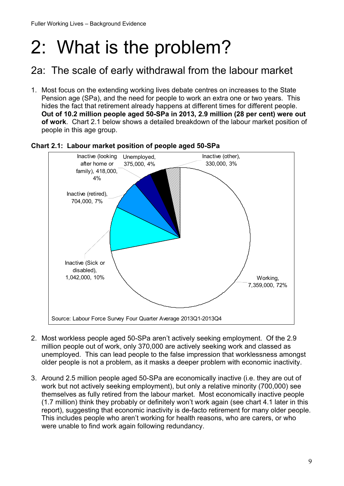## <span id="page-8-0"></span>2: What is the problem?

### 2a: The scale of early withdrawal from the labour market

1. Most focus on the extending working lives debate centres on increases to the State Pension age (SPa), and the need for people to work an extra one or two years. This hides the fact that retirement already happens at different times for different people. **Out of 10.2 million people aged 50-SPa in 2013, 2.9 million (28 per cent) were out of work**. Chart 2.1 below shows a detailed breakdown of the labour market position of people in this age group.



#### **Chart 2.1: Labour market position of people aged 50-SPa**

- 2. Most workless people aged 50-SPa aren't actively seeking employment. Of the 2.9 million people out of work, only 370,000 are actively seeking work and classed as unemployed. This can lead people to the false impression that worklessness amongst older people is not a problem, as it masks a deeper problem with economic inactivity.
- 3. Around 2.5 million people aged 50-SPa are economically inactive (i.e. they are out of work but not actively seeking employment), but only a relative minority (700,000) see themselves as fully retired from the labour market. Most economically inactive people (1.7 million) think they probably or definitely won't work again (see chart 4.1 later in this report), suggesting that economic inactivity is de-facto retirement for many older people. This includes people who aren't working for health reasons, who are carers, or who were unable to find work again following redundancy.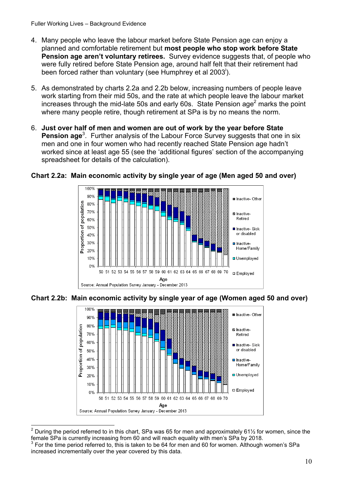- 4. Many people who leave the labour market before State Pension age can enjoy a planned and comfortable retirement but **most people who stop work before State Pension age aren't voluntary retirees.** Survey evidence suggests that, of people who were fully retired before State Pension age, around half felt that their retirement had been forced rather than voluntary (see Humphrey et al 2003<sup>i</sup>).
- 5. As demonstrated by charts 2.2a and 2.2b below, increasing numbers of people leave work starting from their mid 50s, and the rate at which people leave the labour market increases through the mid-late 50s and early 60s. State Pension age<sup>2</sup> marks the point where many people retire, though retirement at SPa is by no means the norm.
- 6. **Just over half of men and women are out of work by the year before State** Pension age<sup>3</sup>. Further analysis of the Labour Force Survey suggests that one in six men and one in four women who had recently reached State Pension age hadn't worked since at least age 55 (see the 'additional figures' section of the accompanying spreadsheet for details of the calculation).



#### **Chart 2.2a: Main economic activity by single year of age (Men aged 50 and over)**

**Chart 2.2b: Main economic activity by single year of age (Women aged 50 and over)** 



 $\overline{a}$ 2 During the period referred to in this chart, SPa was 65 for men and approximately 61½ for women, since the female SPa is currently increasing from 60 and will reach equality with men's SPa by 2018.

 $3$  For the time period referred to, this is taken to be 64 for men and 60 for women. Although women's SPa increased incrementally over the year covered by this data.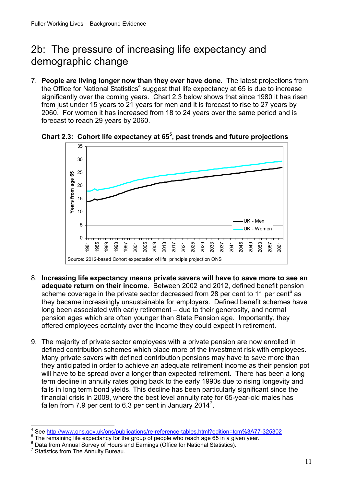## <span id="page-10-0"></span>2b: The pressure of increasing life expectancy and demographic change

7. **People are living longer now than they ever have done**. The latest projections from the Office for National Statistics<sup>4</sup> suggest that life expectancy at 65 is due to increase significantly over the coming years. Chart 2.3 below shows that since 1980 it has risen from just under 15 years to 21 years for men and it is forecast to rise to 27 years by 2060. For women it has increased from 18 to 24 years over the same period and is forecast to reach 29 years by 2060.



**Chart 2.3: Cohort life expectancy at 655 , past trends and future projections** 

- 8. **Increasing life expectancy means private savers will have to save more to see an adequate return on their income**. Between 2002 and 2012, defined benefit pension scheme coverage in the private sector decreased from 28 per cent to 11 per cent<sup>6</sup> as they became increasingly unsustainable for employers. Defined benefit schemes have long been associated with early retirement – due to their generosity, and normal pension ages which are often younger than State Pension age. Importantly, they offered employees certainty over the income they could expect in retirement.
- 9. The majority of private sector employees with a private pension are now enrolled in defined contribution schemes which place more of the investment risk with employees. Many private savers with defined contribution pensions may have to save more than they anticipated in order to achieve an adequate retirement income as their pension pot will have to be spread over a longer than expected retirement. There has been a long term decline in annuity rates going back to the early 1990s due to rising longevity and falls in long term bond yields. This decline has been particularly significant since the financial crisis in 2008, where the best level annuity rate for 65-year-old males has fallen from 7.9 per cent to 6.3 per cent in January 2014<sup>7</sup>.

 $\overline{a}$ 4 <sup>4</sup> See <u>http://www.ons.gov.uk/ons/publications/re-reference-tables.html?edition=tcm%3A77-325302</u><br><sup>5</sup> The remaining life evacatesey for the group of peeble ushe reach ase 65 in a given veer.

 $5$  The remaining life expectancy for the group of people who reach age 65 in a given year.

Data from Annual Survey of Hours and Earnings (Office for National Statistics).

Statistics from The Annuity Bureau.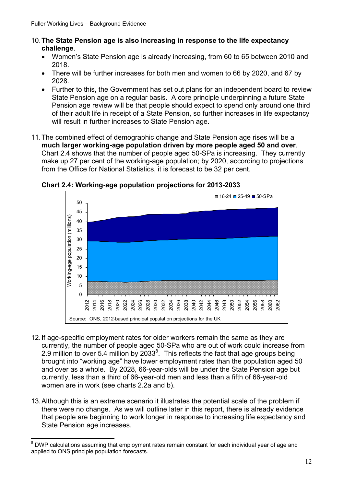- 10.**The State Pension age is also increasing in response to the life expectancy challenge**.
	- Women's State Pension age is already increasing, from 60 to 65 between 2010 and 2018.
	- There will be further increases for both men and women to 66 by 2020, and 67 by 2028.
	- Further to this, the Government has set out plans for an independent board to review State Pension age on a regular basis. A core principle underpinning a future State Pension age review will be that people should expect to spend only around one third of their adult life in receipt of a State Pension, so further increases in life expectancy will result in further increases to State Pension age.
- 11.The combined effect of demographic change and State Pension age rises will be a **much larger working-age population driven by more people aged 50 and over**. Chart 2.4 shows that the number of people aged 50-SPa is increasing. They currently make up 27 per cent of the working-age population; by 2020, according to projections from the Office for National Statistics, it is forecast to be 32 per cent.



**Chart 2.4: Working-age population projections for 2013-2033** 

- 12.If age-specific employment rates for older workers remain the same as they are currently, the number of people aged 50-SPa who are out of work could increase from 2.9 million to over 5.4 million by  $2033^8$ . This reflects the fact that age groups being brought into "working age" have lower employment rates than the population aged 50 and over as a whole. By 2028, 66-year-olds will be under the State Pension age but currently, less than a third of 66-year-old men and less than a fifth of 66-year-old women are in work (see charts 2.2a and b).
- 13.Although this is an extreme scenario it illustrates the potential scale of the problem if there were no change. As we will outline later in this report, there is already evidence that people are beginning to work longer in response to increasing life expectancy and State Pension age increases.

 8 DWP calculations assuming that employment rates remain constant for each individual year of age and applied to ONS principle population forecasts.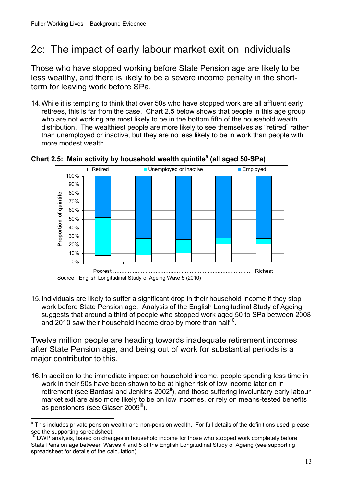## <span id="page-12-0"></span>2c: The impact of early labour market exit on individuals

Those who have stopped working before State Pension age are likely to be less wealthy, and there is likely to be a severe income penalty in the shortterm for leaving work before SPa.

14.While it is tempting to think that over 50s who have stopped work are all affluent early retirees, this is far from the case. Chart 2.5 below shows that people in this age group who are not working are most likely to be in the bottom fifth of the household wealth distribution. The wealthiest people are more likely to see themselves as "retired" rather than unemployed or inactive, but they are no less likely to be in work than people with more modest wealth.



Chart 2.5: Main activity by household wealth quintile<sup>9</sup> (all aged 50-SPa)

15.Individuals are likely to suffer a significant drop in their household income if they stop work before State Pension age. Analysis of the English Longitudinal Study of Ageing suggests that around a third of people who stopped work aged 50 to SPa between 2008 and 2010 saw their household income drop by more than half<sup>10</sup>.

Twelve million people are heading towards inadequate retirement incomes after State Pension age, and being out of work for substantial periods is a major contributor to this.

16.In addition to the immediate impact on household income, people spending less time in work in their 50s have been shown to be at higher risk of low income later on in retirement (see Bardasi and Jenkins  $2002^{\mathbb{I}}$ ), and those suffering involuntary early labour market exit are also more likely to be on low incomes, or rely on means-tested benefits as pensioners (see Glaser 2009<sup>iii</sup>).

 9 This includes private pension wealth and non-pension wealth. For full details of the definitions used, please see the supporting spreadsheet.

 $10$  DWP analysis, based on changes in household income for those who stopped work completely before State Pension age between Waves 4 and 5 of the English Longitudinal Study of Ageing (see supporting spreadsheet for details of the calculation).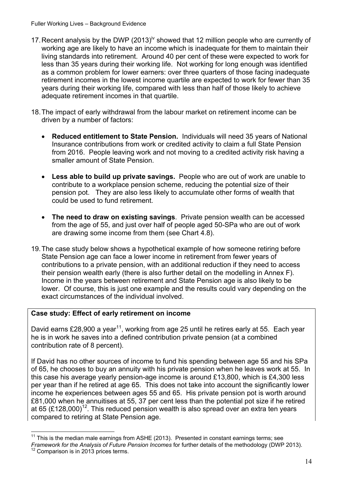- 17. Recent analysis by the DWP (2013)<sup>iv</sup> showed that 12 million people who are currently of working age are likely to have an income which is inadequate for them to maintain their living standards into retirement. Around 40 per cent of these were expected to work for less than 35 years during their working life. Not working for long enough was identified as a common problem for lower earners: over three quarters of those facing inadequate retirement incomes in the lowest income quartile are expected to work for fewer than 35 years during their working life, compared with less than half of those likely to achieve adequate retirement incomes in that quartile.
- 18.The impact of early withdrawal from the labour market on retirement income can be driven by a number of factors:
	- **Reduced entitlement to State Pension.** Individuals will need 35 years of National Insurance contributions from work or credited activity to claim a full State Pension from 2016. People leaving work and not moving to a credited activity risk having a smaller amount of State Pension.
	- **Less able to build up private savings.** People who are out of work are unable to contribute to a workplace pension scheme, reducing the potential size of their pension pot. They are also less likely to accumulate other forms of wealth that could be used to fund retirement.
	- **The need to draw on existing savings**. Private pension wealth can be accessed from the age of 55, and just over half of people aged 50-SPa who are out of work are drawing some income from them (see Chart 4.8).
- 19.The case study below shows a hypothetical example of how someone retiring before State Pension age can face a lower income in retirement from fewer years of contributions to a private pension, with an additional reduction if they need to access their pension wealth early (there is also further detail on the modelling in Annex F). Income in the years between retirement and State Pension age is also likely to be lower. Of course, this is just one example and the results could vary depending on the exact circumstances of the individual involved.

#### **Case study: Effect of early retirement on income**

David earns £28,900 a year<sup>11</sup>, working from age 25 until he retires early at 55. Each year he is in work he saves into a defined contribution private pension (at a combined contribution rate of 8 percent).

If David has no other sources of income to fund his spending between age 55 and his SPa of 65, he chooses to buy an annuity with his private pension when he leaves work at 55. In this case his average yearly pension-age income is around £13,800, which is £4,300 less per year than if he retired at age 65. This does not take into account the significantly lower income he experiences between ages 55 and 65. His private pension pot is worth around £81,000 when he annuitises at 55, 37 per cent less than the potential pot size if he retired at 65 (£128,000)<sup>12</sup>. This reduced pension wealth is also spread over an extra ten years compared to retiring at State Pension age.

 $\overline{a}$  $11$  This is the median male earnings from ASHE (2013). Presented in constant earnings terms; see

*Framework for the Analysis of Future Pension Incomes for further details of the methodology (DWP 2013).*<br><sup>12</sup> Comparison is in 2013 prices terms.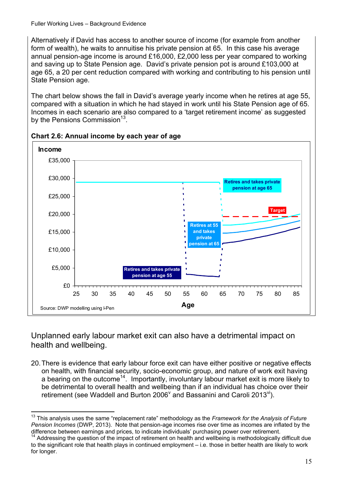Alternatively if David has access to another source of income (for example from another form of wealth), he waits to annuitise his private pension at 65. In this case his average annual pension-age income is around £16,000, £2,000 less per year compared to working and saving up to State Pension age. David's private pension pot is around £103,000 at age 65, a 20 per cent reduction compared with working and contributing to his pension until State Pension age.

The chart below shows the fall in David's average yearly income when he retires at age 55, compared with a situation in which he had stayed in work until his State Pension age of 65. Incomes in each scenario are also compared to a 'target retirement income' as suggested by the Pensions Commission<sup>13</sup>





Unplanned early labour market exit can also have a detrimental impact on health and wellbeing.

20.There is evidence that early labour force exit can have either positive or negative effects on health, with financial security, socio-economic group, and nature of work exit having a bearing on the outcome<sup>14</sup>. Importantly, involuntary labour market exit is more likely to be detrimental to overall health and wellbeing than if an individual has choice over their retirement (see Waddell and Burton 2006 $^{\vee}$  and Bassanini and Caroli 2013 $^{\vee}$ ).

 $\overline{a}$ 13 This analysis uses the same "replacement rate" methodology as the *Framework for the Analysis of Future Pension Incomes* (DWP, 2013). Note that pension-age incomes rise over time as incomes are inflated by the difference between earnings and prices, to indicate individuals' purchasing power over retirement.

<sup>&</sup>lt;sup>14</sup> Addressing the question of the impact of retirement on health and wellbeing is methodologically difficult due to the significant role that health plays in continued employment – i.e. those in better health are likely to work for longer.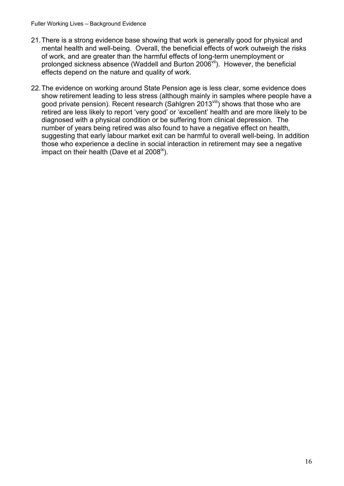- 21.There is a strong evidence base showing that work is generally good for physical and mental health and well-being. Overall, the beneficial effects of work outweigh the risks of work, and are greater than the harmful effects of long-term unemployment or prolonged sickness absence (Waddell and Burton  $2006<sup>vil</sup>$ ). However, the beneficial effects depend on the nature and quality of work.
- 22.The evidence on working around State Pension age is less clear, some evidence does show retirement leading to less stress (although mainly in samples where people have a good private pension). Recent research (Sahlgren 2013<sup>viii</sup>) shows that those who are retired are less likely to report 'very good' or 'excellent' health and are more likely to be diagnosed with a physical condition or be suffering from clinical depression. The number of years being retired was also found to have a negative effect on health, suggesting that early labour market exit can be harmful to overall well-being. In addition those who experience a decline in social interaction in retirement may see a negative impact on their health (Dave et al  $2008^{\alpha}$ ).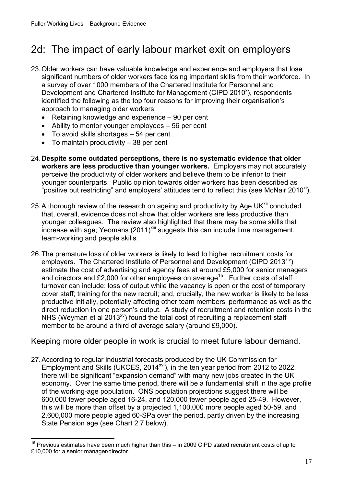## <span id="page-16-0"></span>2d: The impact of early labour market exit on employers

- significant numbers of older workers face losing important skills from their workforce. In 23.Older workers can have valuable knowledge and experience and employers that lose a survey of over 1000 members of the Chartered Institute for Personnel and Development and Chartered Institute for Management (CIPD 2010<sup>x</sup>), respondents identified the following as the top four reasons for improving their organisation's approach to managing older workers:
	- Retaining knowledge and experience 90 per cent
	- Ability to mentor younger employees 56 per cent
	- To avoid skills shortages 54 per cent
	- $\bullet$  To maintain productivity  $-38$  per cent

 $\overline{a}$ 

- 24.**Despite some outdated perceptions, there is no systematic evidence that older workers are less productive than younger workers.** Employers may not accurately perceive the productivity of older workers and believe them to be inferior to their younger counterparts. Public opinion towards older workers has been described as "positive but restricting" and employers' attitudes tend to reflect this (see McNair 2010<sup>xi</sup>).
- 25. A thorough review of the research on ageing and productivity by Age UK<sup>xii</sup> concluded that, overall, evidence does not show that older workers are less productive than younger colleagues. The review also highlighted that there may be some skills that increase with age; Yeomans  $(2011)^{xiii}$  suggests this can include time management, team-working and people skills.
- 26.The premature loss of older workers is likely to lead to higher recruitment costs for employers. The Chartered Institute of Personnel and Development (CIPD 2013<sup>xiv</sup>) estimate the cost of advertising and agency fees at around £5,000 for senior managers and directors and £2,000 for other employees on average<sup>15</sup>. Further costs of staff turnover can include: loss of output while the vacancy is open or the cost of temporary cover staff; training for the new recruit; and, crucially, the new worker is likely to be less productive initially, potentially affecting other team members' performance as well as the direct reduction in one person's output. A study of recruitment and retention costs in the NHS (Weyman et al 2013 $^{xy}$ ) found the total cost of recruiting a replacement staff member to be around a third of average salary (around £9,000).

Keeping more older people in work is crucial to meet future labour demand.

27.According to regular industrial forecasts produced by the UK Commission for Employment and Skills (UKCES, 2014<sup>xvi</sup>), in the ten year period from 2012 to 2022, there will be significant "expansion demand" with many new jobs created in the UK economy. Over the same time period, there will be a fundamental shift in the age profile of the working-age population. ONS population projections suggest there will be 600,000 fewer people aged 16-24, and 120,000 fewer people aged 25-49. However, this will be more than offset by a projected 1,100,000 more people aged 50-59, and 2,600,000 more people aged 60-SPa over the period, partly driven by the increasing State Pension age (see Chart 2.7 below).

<sup>&</sup>lt;sup>15</sup> Previous estimates have been much higher than this – in 2009 CIPD stated recruitment costs of up to £10,000 for a senior manager/director.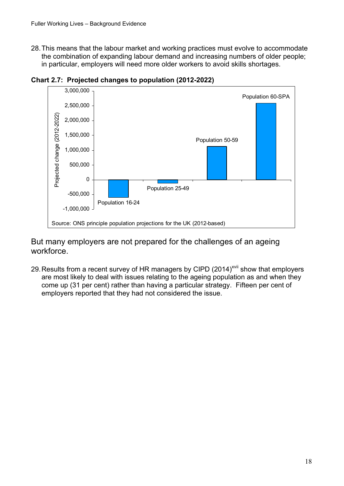28.This means that the labour market and working practices must evolve to accommodate the combination of expanding labour demand and increasing numbers of older people; in particular, employers will need more older workers to avoid skills shortages.



**Chart 2.7: Projected changes to population (2012-2022)** 

But many employers are not prepared for the challenges of an ageing workforce.

29. Results from a recent survey of HR managers by CIPD (2014)<sup>xvii</sup> show that employers are most likely to deal with issues relating to the ageing population as and when they come up (31 per cent) rather than having a particular strategy. Fifteen per cent of employers reported that they had not considered the issue.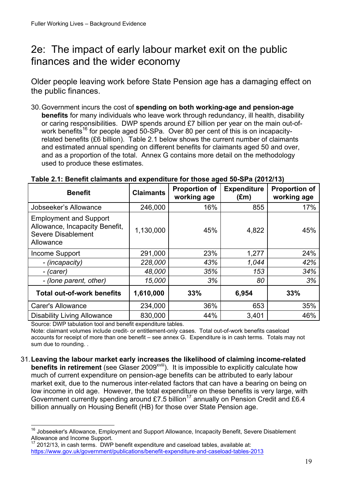### <span id="page-18-0"></span>2e: The impact of early labour market exit on the public finances and the wider economy

Older people leaving work before State Pension age has a damaging effect on the public finances.

30.Government incurs the cost of **spending on both working-age and pension-age benefits** for many individuals who leave work through redundancy, ill health, disability or caring responsibilities. DWP spends around £7 billion per year on the main out-ofwork benefits<sup>16</sup> for people aged 50-SPa. Over 80 per cent of this is on incapacityrelated benefits (£6 billion). Table 2.1 below shows the current number of claimants and estimated annual spending on different benefits for claimants aged 50 and over, and as a proportion of the total. Annex G contains more detail on the methodology used to produce these estimates.

| <b>Benefit</b>                                                                                            | <b>Claimants</b> | <b>Proportion of</b><br>working age | <b>Expenditure</b><br>$(\text{Em})$ | <b>Proportion of</b><br>working age |
|-----------------------------------------------------------------------------------------------------------|------------------|-------------------------------------|-------------------------------------|-------------------------------------|
| Jobseeker's Allowance                                                                                     | 246,000          | 16%                                 | 855                                 | 17%                                 |
| <b>Employment and Support</b><br>Allowance, Incapacity Benefit,<br><b>Severe Disablement</b><br>Allowance | 1,130,000        | 45%                                 | 4,822                               | 45%                                 |
| Income Support                                                                                            | 291,000          | 23%                                 | 1,277                               | 24%                                 |
| - (incapacity)                                                                                            | 228,000          | 43%                                 | 1,044                               | 42%                                 |
| - (carer)                                                                                                 | 48,000           | 35%                                 | 153                                 | 34%                                 |
| - (lone parent, other)                                                                                    | 15,000           | 3%                                  | 80                                  | 3%                                  |
| <b>Total out-of-work benefits</b>                                                                         | 1,610,000        | 33%                                 | 6,954                               | 33%                                 |
| <b>Carer's Allowance</b>                                                                                  | 234,000          | 36%                                 | 653                                 | 35%                                 |
| <b>Disability Living Allowance</b>                                                                        | 830,000          | 44%                                 | 3,401                               | 46%                                 |

#### **Table 2.1: Benefit claimants and expenditure for those aged 50-SPa (2012/13)**

Source: DWP tabulation tool and benefit expenditure tables.

Note: claimant volumes include credit- or entitlement-only cases. Total out-of-work benefits caseload accounts for receipt of more than one benefit – see annex G. Expenditure is in cash terms. Totals may not sum due to rounding. .

31.**Leaving the labour market early increases the likelihood of claiming income-related benefits in retirement** (see Glaser 2009<sup>xviii</sup>). It is impossible to explicitly calculate how much of current expenditure on pension-age benefits can be attributed to early labour market exit, due to the numerous inter-related factors that can have a bearing on being on low income in old age. However, the total expenditure on these benefits is very large, with Government currently spending around £7.5 billion<sup>17</sup> annually on Pension Credit and £6.4 billion annually on Housing Benefit (HB) for those over State Pension age.

 $\overline{a}$ <sup>16</sup> Jobseeker's Allowance, Employment and Support Allowance, Incapacity Benefit, Severe Disablement Allowance and Income Support.

https://www.gov.uk/government/publications/benefit-expenditure-and-caseload-tables-2013 2012/13, in cash terms. DWP benefit expenditure and caseload tables, available at: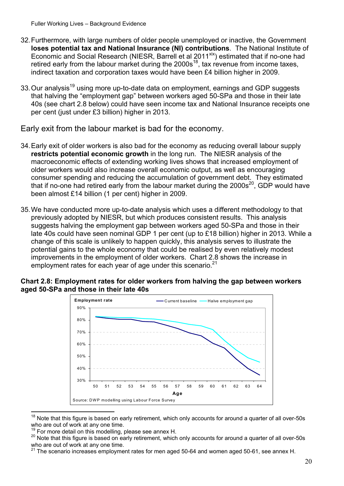- 32.Furthermore, with large numbers of older people unemployed or inactive, the Government **loses potential tax and National Insurance (NI) contributions**. The National Institute of Economic and Social Research (NIESR, Barrell et al 2011<sup>xix</sup>) estimated that if no-one had retired early from the labour market during the  $2000s^{18}$ , tax revenue from income taxes, indirect taxation and corporation taxes would have been £4 billion higher in 2009.
- 33. Our analysis<sup>19</sup> using more up-to-date data on employment, earnings and GDP suggests that halving the "employment gap" between workers aged 50-SPa and those in their late 40s (see chart 2.8 below) could have seen income tax and National Insurance receipts one per cent (just under £3 billion) higher in 2013.

Early exit from the labour market is bad for the economy.

- been almost £14 billion (1 per cent) higher in 2009. 34.Early exit of older workers is also bad for the economy as reducing overall labour supply **restricts potential economic growth** in the long run. The NIESR analysis of the macroeconomic effects of extending working lives shows that increased employment of older workers would also increase overall economic output, as well as encouraging consumer spending and reducing the accumulation of government debt. They estimated that if no-one had retired early from the labour market during the 2000s<sup>20</sup>, GDP would have
- improvements in the employment of older workers. Chart 2.8 shows the increase in employment rates for each year of age under this scenario. $21$ 35. We have conducted more up-to-date analysis which uses a different methodology to that previously adopted by NIESR, but which produces consistent results. This analysis suggests halving the employment gap between workers aged 50-SPa and those in their late 40s could have seen nominal GDP 1 per cent (up to £18 billion) higher in 2013. While a change of this scale is unlikely to happen quickly, this analysis serves to illustrate the potential gains to the whole economy that could be realised by even relatively modest





 $18$  Note that this figure is based on early retirement, which only accounts for around a quarter of all over-50s who are out of work at any one time.<br><sup>19</sup> For more detail on this modelling, please see annex H.

 $\overline{a}$ 

 $^{19}$  For more detail on this modelling, please see annex H.<br><sup>20</sup> Note that this figure is based on early retirement, which only accounts for around a quarter of all over-50s who are out of work at any one time.

<sup>21</sup> The scenario increases employment rates for men aged 50-64 and women aged 50-61, see annex H.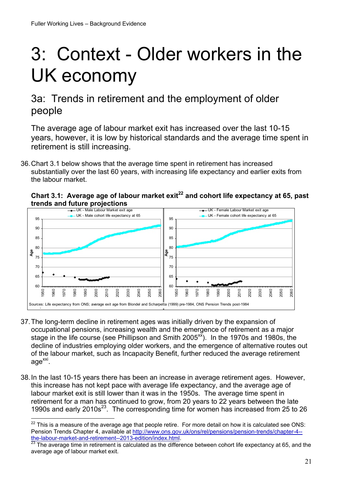$\overline{a}$ 

## <span id="page-20-0"></span>3: Context - Older workers in the UK economy

### 3a: Trends in retirement and the employment of older people

The average age of labour market exit has increased over the last 10-15 years, however, it is low by historical standards and the average time spent in retirement is still increasing.

36.Chart 3.1 below shows that the average time spent in retirement has increased substantially over the last 60 years, with increasing life expectancy and earlier exits from the labour market.





- 37.The long-term decline in retirement ages was initially driven by the expansion of occupational pensions, increasing wealth and the emergence of retirement as a major stage in the life course (see Phillipson and Smith 2005 $\frac{x}{x}$ ). In the 1970s and 1980s, the decline of industries employing older workers, and the emergence of alternative routes out of the labour market, such as Incapacity Benefit, further reduced the average retirement age<sup>xxi</sup>.
- 38.In the last 10-15 years there has been an increase in average retirement ages. However, this increase has not kept pace with average life expectancy, and the average age of labour market exit is still lower than it was in the 1950s. The average time spent in retirement for a man has continued to grow, from 20 years to 22 years between the late 1990s and early 2010s23. The corresponding time for women has increased from 25 to 26

 $^{22}$  This is a measure of the average age that people retire. For more detail on how it is calculated see ONS: Pension Trends Chapter 4, available at http://www.ons.gov.uk/ons/rel/pensions/pension-trends/chapter-4--<br>the-labour-market-and-retirement--2013-edition/index.html.<br>23 The average time in retirement is actually in the conte

The average time in retirement is calculated as the difference between cohort life expectancy at 65, and the average age of labour market exit.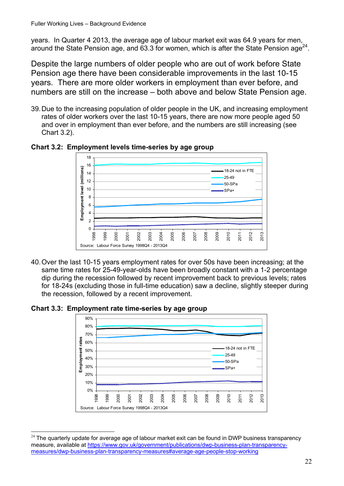years. In Quarter 4 2013, the average age of labour market exit was 64.9 years for men, around the State Pension age, and  $63.3$  for women, which is after the State Pension age<sup>24</sup>.

Despite the large numbers of older people who are out of work before State Pension age there have been considerable improvements in the last 10-15 years. There are more older workers in employment than ever before, and numbers are still on the increase – both above and below State Pension age.

39.Due to the increasing population of older people in the UK, and increasing employment rates of older workers over the last 10-15 years, there are now more people aged 50 and over in employment than ever before, and the numbers are still increasing (see Chart 3.2).



**Chart 3.2: Employment levels time-series by age group** 

40.Over the last 10-15 years employment rates for over 50s have been increasing; at the same time rates for 25-49-year-olds have been broadly constant with a 1-2 percentage dip during the recession followed by recent improvement back to previous levels; rates for 18-24s (excluding those in full-time education) saw a decline, slightly steeper during the recession, followed by a recent improvement.

**Chart 3.3: Employment rate time-series by age group** 



 $\overline{a}$ measures/dwp-business-plan-transparency-measures#average-age-people-stop-working  $24$  The quarterly update for average age of labour market exit can be found in DWP business transparency measure, available at https://www.gov.uk/government/publications/dwp-business-plan-transparency- $\frac{8}{2}$   $\frac{8}{2}$   $\frac{8}{2}$   $\frac{8}{2}$   $\frac{8}{2}$   $\frac{8}{2}$   $\frac{8}{2}$   $\frac{8}{2}$   $\frac{8}{2}$   $\frac{8}{2}$   $\frac{8}{2}$   $\frac{8}{2}$   $\frac{8}{2}$   $\frac{8}{2}$   $\frac{8}{2}$   $\frac{8}{2}$   $\frac{8}{2}$   $\frac{8}{2}$   $\frac{8}{2}$   $\frac{8}{2}$   $\frac{8}{2}$   $\frac{8}{2}$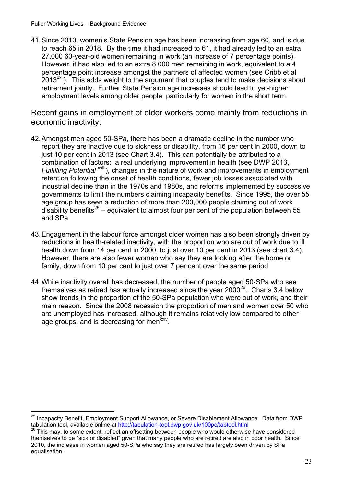$\overline{a}$ 

41.Since 2010, women's State Pension age has been increasing from age 60, and is due to reach 65 in 2018. By the time it had increased to 61, it had already led to an extra 27,000 60-year-old women remaining in work (an increase of 7 percentage points). However, it had also led to an extra 8,000 men remaining in work, equivalent to a 4 percentage point increase amongst the partners of affected women (see Cribb et al  $2013^{x}$ <sup>xxii</sup>). This adds weight to the argument that couples tend to make decisions about retirement jointly. Further State Pension age increases should lead to yet-higher employment levels among older people, particularly for women in the short term.

Recent gains in employment of older workers come mainly from reductions in economic inactivity.

- 42.Amongst men aged 50-SPa, there has been a dramatic decline in the number who report they are inactive due to sickness or disability, from 16 per cent in 2000, down to just 10 per cent in 2013 (see Chart 3.4). This can potentially be attributed to a combination of factors: a real underlying improvement in health (see DWP 2013, *Fulfilling Potential*<sup>xxiii</sup>), changes in the nature of work and improvements in employment retention following the onset of health conditions, fewer job losses associated with industrial decline than in the 1970s and 1980s, and reforms implemented by successive governments to limit the numbers claiming incapacity benefits. Since 1995, the over 55 age group has seen a reduction of more than 200,000 people claiming out of work disability benefits<sup>25</sup> – equivalent to almost four per cent of the population between 55 and SPa.
- 43.Engagement in the labour force amongst older women has also been strongly driven by reductions in health-related inactivity, with the proportion who are out of work due to ill health down from 14 per cent in 2000, to just over 10 per cent in 2013 (see chart 3.4). However, there are also fewer women who say they are looking after the home or family, down from 10 per cent to just over 7 per cent over the same period.
- 44.While inactivity overall has decreased, the number of people aged 50-SPa who see themselves as retired has actually increased since the year  $2000^{26}$ . Charts 3.4 below show trends in the proportion of the 50-SPa population who were out of work, and their main reason. Since the 2008 recession the proportion of men and women over 50 who are unemployed has increased, although it remains relatively low compared to other age groups, and is decreasing for men<sup>xxiv</sup>.

tabulation tool, available online at <u>http://tabulation-tool.dwp.gov.uk/100pc/tabtool.html</u><br><sup>26</sup> This may, to some extent, reflect an offsetting between people who would otherwise have considered <sup>25</sup> Incapacity Benefit, Employment Support Allowance, or Severe Disablement Allowance. Data from DWP

themselves to be "sick or disabled" given that many people who are retired are also in poor health. Since 2010, the increase in women aged 50-SPa who say they are retired has largely been driven by SPa equalisation.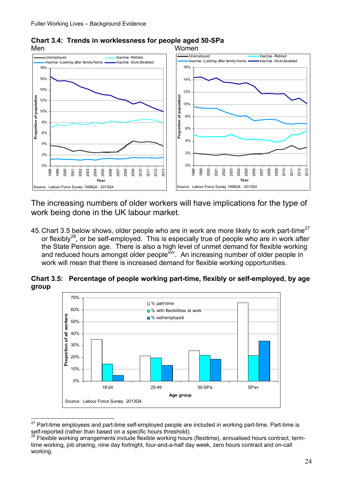

**Chart 3.4: Trends in worklessness for people aged 50-SPa** 

The increasing numbers of older workers will have implications for the type of work being done in the UK labour market.

45. Chart 3.5 below shows, older people who are in work are more likely to work part-time<sup>27</sup> or flexibly<sup>28</sup>, or be self-employed. This is especially true of people who are in work after the State Pension age. There is also a high level of unmet demand for flexible working and reduced hours amongst older people<sup>xxv</sup>. An increasing number of older people in work will mean that there is increased demand for flexible working opportunities.

**Chart 3.5: Percentage of people working part-time, flexibly or self-employed, by age group** 



 $\overline{a}$  $27$  Part-time employees and part-time self-employed people are included in working part-time. Part-time is self-reported (rather than based on a specific hours threshold).

 $^{28}$  Flexible working arrangements include flexible working hours (flexitime), annualised hours contract, termtime working, job sharing, nine day fortnight, four-and-a-half day week, zero hours contract and on-call working.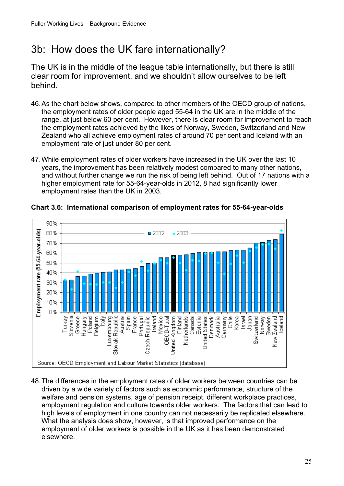## <span id="page-24-0"></span>3b: How does the UK fare internationally?

The UK is in the middle of the league table internationally, but there is still clear room for improvement, and we shouldn't allow ourselves to be left behind.

- 46.As the chart below shows, compared to other members of the OECD group of nations, the employment rates of older people aged 55-64 in the UK are in the middle of the range, at just below 60 per cent. However, there is clear room for improvement to reach the employment rates achieved by the likes of Norway, Sweden, Switzerland and New Zealand who all achieve employment rates of around 70 per cent and Iceland with an employment rate of just under 80 per cent.
- 47.While employment rates of older workers have increased in the UK over the last 10 years, the improvement has been relatively modest compared to many other nations, and without further change we run the risk of being left behind. Out of 17 nations with a higher employment rate for 55-64-year-olds in 2012, 8 had significantly lower employment rates than the UK in 2003.



**Chart 3.6: International comparison of employment rates for 55-64-year-olds** 

48.The differences in the employment rates of older workers between countries can be driven by a wide variety of factors such as economic performance, structure of the welfare and pension systems, age of pension receipt, different workplace practices, employment regulation and culture towards older workers. The factors that can lead to high levels of employment in one country can not necessarily be replicated elsewhere. What the analysis does show, however, is that improved performance on the employment of older workers is possible in the UK as it has been demonstrated elsewhere.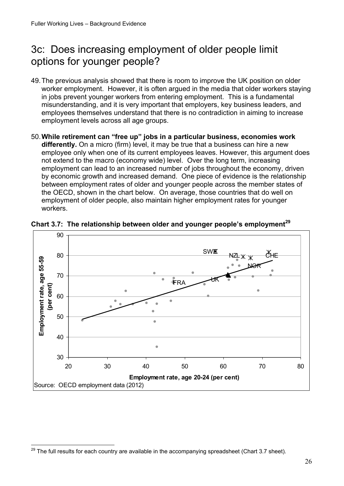## <span id="page-25-0"></span>3c: Does increasing employment of older people limit options for younger people?

- 49.The previous analysis showed that there is room to improve the UK position on older worker employment. However, it is often argued in the media that older workers staying in jobs prevent younger workers from entering employment. This is a fundamental misunderstanding, and it is very important that employers, key business leaders, and employees themselves understand that there is no contradiction in aiming to increase employment levels across all age groups.
- 50.**While retirement can "free up" jobs in a particular business, economies work differently.** On a micro (firm) level, it may be true that a business can hire a new employee only when one of its current employees leaves. However, this argument does not extend to the macro (economy wide) level. Over the long term, increasing employment can lead to an increased number of jobs throughout the economy, driven by economic growth and increased demand. One piece of evidence is the relationship between employment rates of older and younger people across the member states of the OECD, shown in the chart below. On average, those countries that do well on employment of older people, also maintain higher employment rates for younger workers.



Chart 3.7: The relationship between older and younger people's employment<sup>29</sup>

 $\overline{a}$ 

 $^{29}$  The full results for each country are available in the accompanying spreadsheet (Chart 3.7 sheet).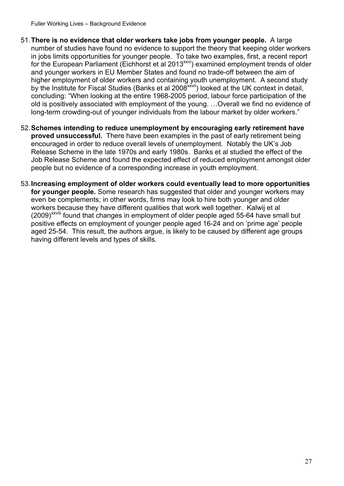- 51.**There is no evidence that older workers take jobs from younger people.** A large number of studies have found no evidence to support the theory that keeping older workers in jobs limits opportunities for younger people. To take two examples, first, a recent report for the European Parliament (Eichhorst et al 2013<sup>xxvi</sup>) examined employment trends of older and younger workers in EU Member States and found no trade-off between the aim of higher employment of older workers and containing youth unemployment. A second study by the Institute for Fiscal Studies (Banks et al 2008xxvii) looked at the UK context in detail, concluding: "When looking at the entire 1968-2005 period, labour force participation of the old is positively associated with employment of the young. …Overall we find no evidence of long-term crowding-out of younger individuals from the labour market by older workers."
- 52.**Schemes intending to reduce unemployment by encouraging early retirement have proved unsuccessful.** There have been examples in the past of early retirement being encouraged in order to reduce overall levels of unemployment. Notably the UK's Job Release Scheme in the late 1970s and early 1980s. Banks et al studied the effect of the Job Release Scheme and found the expected effect of reduced employment amongst older people but no evidence of a corresponding increase in youth employment.
- 53.**Increasing employment of older workers could eventually lead to more opportunities for younger people.** Some research has suggested that older and younger workers may even be complements; in other words, firms may look to hire both younger and older workers because they have different qualities that work well together. Kalwij et al (2009)<sup>XXVIII</sup> found that changes in employment of older people aged 55-64 have small but positive effects on employment of younger people aged 16-24 and on 'prime age' people aged 25-54. This result, the authors argue, is likely to be caused by different age groups having different levels and types of skills.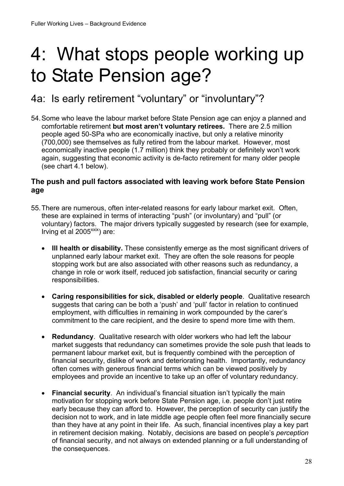## <span id="page-27-0"></span>4: What stops people working up to State Pension age?

## 4a: Is early retirement "voluntary" or "involuntary"?

54.Some who leave the labour market before State Pension age can enjoy a planned and comfortable retirement **but most aren't voluntary retirees.** There are 2.5 million people aged 50-SPa who are economically inactive, but only a relative minority (700,000) see themselves as fully retired from the labour market. However, most economically inactive people (1.7 million) think they probably or definitely won't work again, suggesting that economic activity is de-facto retirement for many older people (see chart 4.1 below).

#### **The push and pull factors associated with leaving work before State Pension age**

- 55.There are numerous, often inter-related reasons for early labour market exit. Often, these are explained in terms of interacting "push" (or involuntary) and "pull" (or voluntary) factors. The major drivers typically suggested by research (see for example, Irving et al  $2005^{x}$ <sup>xix</sup>) are:
	- **Ill health or disability.** These consistently emerge as the most significant drivers of unplanned early labour market exit. They are often the sole reasons for people stopping work but are also associated with other reasons such as redundancy, a change in role or work itself, reduced job satisfaction, financial security or caring responsibilities.
	- **Caring responsibilities for sick, disabled or elderly people**. Qualitative research suggests that caring can be both a 'push' and 'pull' factor in relation to continued employment, with difficulties in remaining in work compounded by the carer's commitment to the care recipient, and the desire to spend more time with them.
	- **Redundancy**. Qualitative research with older workers who had left the labour market suggests that redundancy can sometimes provide the sole push that leads to permanent labour market exit, but is frequently combined with the perception of financial security, dislike of work and deteriorating health. Importantly, redundancy often comes with generous financial terms which can be viewed positively by employees and provide an incentive to take up an offer of voluntary redundancy.
	- in retirement decision making. Notably, decisions are based on people's *perception*  **Financial security**. An individual's financial situation isn't typically the main motivation for stopping work before State Pension age, i.e. people don't just retire early because they can afford to. However, the perception of security can justify the decision not to work, and in late middle age people often feel more financially secure than they have at any point in their life. As such, financial incentives play a key part of financial security, and not always on extended planning or a full understanding of the consequences.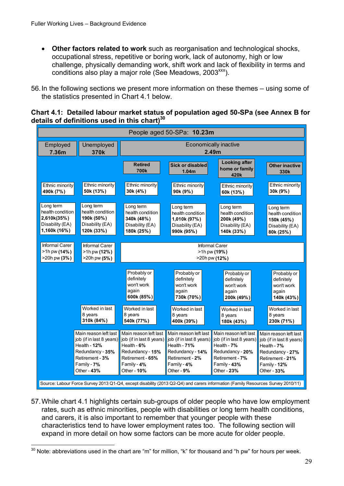- **Other factors related to work** such as reorganisation and technological shocks, occupational stress, repetitive or boring work, lack of autonomy, high or low challenge, physically demanding work, shift work and lack of flexibility in terms and conditions also play a major role (See Meadows, 2003<sup>xxx</sup>).
- 56.In the following sections we present more information on these themes using some of the statistics presented in Chart 4.1 below.

**Chart 4.1: Detailed labour market status of population aged 50-SPa (see Annex B for details of definitions used in this chart)30** 



57.While chart 4.1 highlights certain sub-groups of older people who have low employment rates, such as ethnic minorities, people with disabilities or long term health conditions, and carers, it is also important to remember that younger people with these characteristics tend to have lower employment rates too. The following section will expand in more detail on how some factors can be more acute for older people.

 $\overline{a}$  $30$  Note: abbreviations used in the chart are "m" for million, "k" for thousand and "h pw" for hours per week.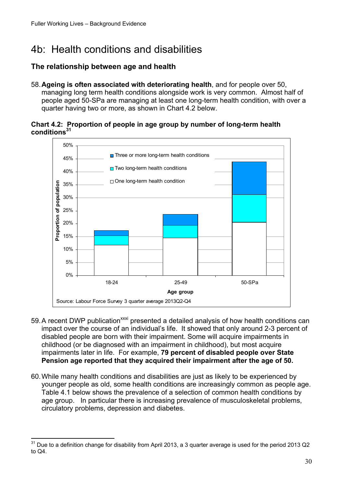## <span id="page-29-0"></span>4b: Health conditions and disabilities

#### **The relationship between age and health**

58.**Ageing is often associated with deteriorating health**, and for people over 50, managing long term health conditions alongside work is very common. Almost half of people aged 50-SPa are managing at least one long-term health condition, with over a quarter having two or more, as shown in Chart 4.2 below.

#### **Chart 4.2: Proportion of people in age group by number of long-term health conditions31**



- 59. A recent DWP publication<sup>xxxi</sup> presented a detailed analysis of how health conditions can impact over the course of an individual's life. It showed that only around 2-3 percent of disabled people are born with their impairment. Some will acquire impairments in childhood (or be diagnosed with an impairment in childhood), but most acquire impairments later in life. For example, **79 percent of disabled people over State Pension age reported that they acquired their impairment after the age of 50.**
- 60.While many health conditions and disabilities are just as likely to be experienced by younger people as old, some health conditions are increasingly common as people age. Table 4.1 below shows the prevalence of a selection of common health conditions by age group. In particular there is increasing prevalence of musculoskeletal problems, circulatory problems, depression and diabetes.

<sup>31</sup> 31 Due to a definition change for disability from April 2013, a 3 quarter average is used for the period 2013 Q2 to Q4.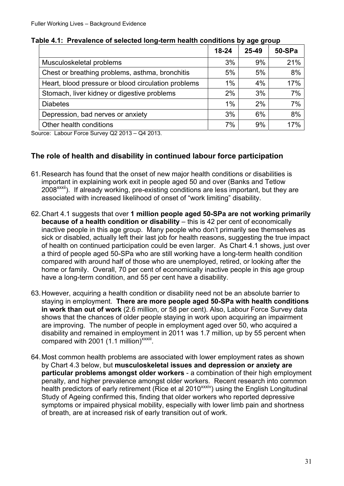|                                                     | $18 - 24$ | $25 - 49$ | 50-SPa |
|-----------------------------------------------------|-----------|-----------|--------|
| Musculoskeletal problems                            | 3%        | 9%        | 21%    |
| Chest or breathing problems, asthma, bronchitis     | 5%        | 5%        | 8%     |
| Heart, blood pressure or blood circulation problems | $1\%$     | 4%        | 17%    |
| Stomach, liver kidney or digestive problems         | 2%        | 3%        | 7%     |
| <b>Diabetes</b>                                     | $1\%$     | 2%        | 7%     |
| Depression, bad nerves or anxiety                   | 3%        | 6%        | 8%     |
| Other health conditions                             | 7%        | 9%        | 17%    |

**Table 4.1: Prevalence of selected long-term health conditions by age group** 

Source: Labour Force Survey Q2 2013 – Q4 2013.

#### **The role of health and disability in continued labour force participation**

- 61.Research has found that the onset of new major health conditions or disabilities is important in explaining work exit in people aged 50 and over (Banks and Tetlow 2008<sup>xxxii</sup>). If already working, pre-existing conditions are less important, but they are associated with increased likelihood of onset of "work limiting" disability.
- 62.Chart 4.1 suggests that over **1 million people aged 50-SPa are not working primarily because of a health condition or disability** – this is 42 per cent of economically inactive people in this age group. Many people who don't primarily see themselves as sick or disabled, actually left their last job for health reasons, suggesting the true impact of health on continued participation could be even larger. As Chart 4.1 shows, just over a third of people aged 50-SPa who are still working have a long-term health condition compared with around half of those who are unemployed, retired, or looking after the home or family. Overall, 70 per cent of economically inactive people in this age group have a long-term condition, and 55 per cent have a disability.
- 63.However, acquiring a health condition or disability need not be an absolute barrier to staying in employment. **There are more people aged 50-SPa with health conditions in work than out of work** (2.6 million, or 58 per cent). Also, Labour Force Survey data shows that the chances of older people staying in work upon acquiring an impairment are improving. The number of people in employment aged over 50, who acquired a disability and remained in employment in 2011 was 1.7 million, up by 55 percent when compared with 2001 (1.1 million)<sup>xxxiii</sup>.
- 64.Most common health problems are associated with lower employment rates as shown by Chart 4.3 below, but **musculoskeletal issues and depression or anxiety are particular problems amongst older workers** - a combination of their high employment penalty, and higher prevalence amongst older workers. Recent research into common health predictors of early retirement (Rice et al 2010<sup>xxxiv</sup>) using the English Longitudinal Study of Ageing confirmed this, finding that older workers who reported depressive symptoms or impaired physical mobility, especially with lower limb pain and shortness of breath, are at increased risk of early transition out of work.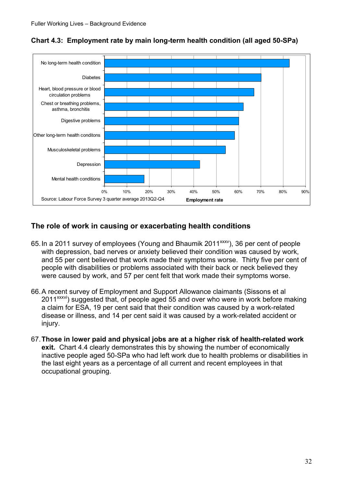

**Chart 4.3: Employment rate by main long-term health condition (all aged 50-SPa)** 

#### **The role of work in causing or exacerbating health conditions**

- 65. In a 2011 survey of employees (Young and Bhaumik 2011<sup>xxxv</sup>), 36 per cent of people with depression, bad nerves or anxiety believed their condition was caused by work, and 55 per cent believed that work made their symptoms worse. Thirty five per cent of people with disabilities or problems associated with their back or neck believed they were caused by work, and 57 per cent felt that work made their symptoms worse.
- 66.A recent survey of Employment and Support Allowance claimants (Sissons et al 2011<sup>xxxvi</sup>) suggested that, of people aged 55 and over who were in work before making a claim for ESA, 19 per cent said that their condition was caused by a work-related disease or illness, and 14 per cent said it was caused by a work-related accident or injury.
- 67.**Those in lower paid and physical jobs are at a higher risk of health-related work exit.** Chart 4.4 clearly demonstrates this by showing the number of economically inactive people aged 50-SPa who had left work due to health problems or disabilities in the last eight years as a percentage of all current and recent employees in that occupational grouping.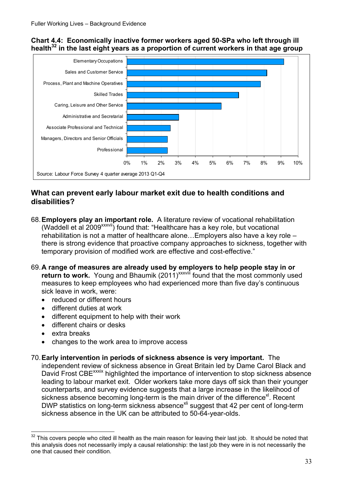#### **Chart 4.4: Economically inactive former workers aged 50-SPa who left through ill**  health<sup>32</sup> in the last eight years as a proportion of current workers in that age group



#### **What can prevent early labour market exit due to health conditions and disabilities?**

- 68.**Employers play an important role.** A literature review of vocational rehabilitation (Waddell et al 2009xxxvii) found that: "Healthcare has a key role, but vocational rehabilitation is not a matter of healthcare alone…Employers also have a key role – there is strong evidence that proactive company approaches to sickness, together with temporary provision of modified work are effective and cost-effective."
- 69.**A range of measures are already used by employers to help people stay in or return to work.** Young and Bhaumik (2011)<sup>xxxviii</sup> found that the most commonly used measures to keep employees who had experienced more than five day's continuous sick leave in work, were:
	- reduced or different hours
	- different duties at work
	- different equipment to help with their work
	- different chairs or desks
	- extra breaks

 $\overline{a}$ 

- changes to the work area to improve access
- 70.**Early intervention in periods of sickness absence is very important.** The independent review of sickness absence in Great Britain led by Dame Carol Black and David Frost CBE<sup>xxxix</sup> highlighted the importance of intervention to stop sickness absence leading to labour market exit. Older workers take more days off sick than their younger counterparts, and survey evidence suggests that a large increase in the likelihood of sickness absence becoming long-term is the main driver of the difference<sup>xl</sup>. Recent DWP statistics on long-term sickness absence<sup>xii</sup> suggest that 42 per cent of long-term sickness absence in the UK can be attributed to 50-64-year-olds.

 $32$  This covers people who cited ill health as the main reason for leaving their last job. It should be noted that this analysis does not necessarily imply a causal relationship: the last job they were in is not necessarily the one that caused their condition.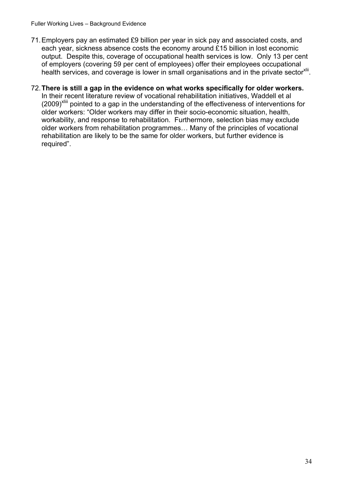- 71.Employers pay an estimated £9 billion per year in sick pay and associated costs, and each year, sickness absence costs the economy around £15 billion in lost economic output. Despite this, coverage of occupational health services is low. Only 13 per cent of employers (covering 59 per cent of employees) offer their employees occupational health services, and coverage is lower in small organisations and in the private sector<sup>xlii</sup>.
- 72.**There is still a gap in the evidence on what works specifically for older workers.**  In their recent literature review of vocational rehabilitation initiatives, Waddell et al  $(2009)^{x\text{lim}}$  pointed to a gap in the understanding of the effectiveness of interventions for older workers: "Older workers may differ in their socio-economic situation, health, workability, and response to rehabilitation. Furthermore, selection bias may exclude older workers from rehabilitation programmes… Many of the principles of vocational rehabilitation are likely to be the same for older workers, but further evidence is required".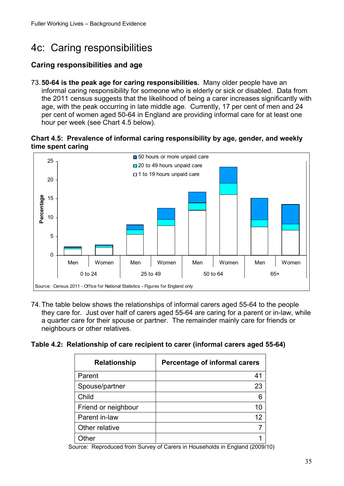## <span id="page-34-0"></span>4c: Caring responsibilities

#### **Caring responsibilities and age**

73.**50-64 is the peak age for caring responsibilities.** Many older people have an informal caring responsibility for someone who is elderly or sick or disabled. Data from the 2011 census suggests that the likelihood of being a carer increases significantly with age, with the peak occurring in late middle age. Currently, 17 per cent of men and 24 per cent of women aged 50-64 in England are providing informal care for at least one hour per week (see Chart 4.5 below).

**Chart 4.5: Prevalence of informal caring responsibility by age, gender, and weekly time spent caring** 



74.The table below shows the relationships of informal carers aged 55-64 to the people they care for. Just over half of carers aged 55-64 are caring for a parent or in-law, while a quarter care for their spouse or partner. The remainder mainly care for friends or neighbours or other relatives.

|  |  |  |  | Table 4.2: Relationship of care recipient to carer (informal carers aged 55-64) |
|--|--|--|--|---------------------------------------------------------------------------------|
|--|--|--|--|---------------------------------------------------------------------------------|

| <b>Relationship</b> | Percentage of informal carers |
|---------------------|-------------------------------|
| Parent              | 41                            |
| Spouse/partner      | 23                            |
| Child               | 6                             |
| Friend or neighbour | 10                            |
| Parent in-law       | 12                            |
| Other relative      |                               |
| <b>Ther</b>         |                               |

Source: Reproduced from Survey of Carers in Households in England (2009/10)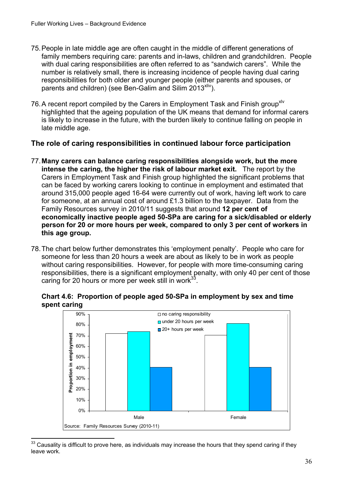- 75.People in late middle age are often caught in the middle of different generations of family members requiring care: parents and in-laws, children and grandchildren. People with dual caring responsibilities are often referred to as "sandwich carers". While the number is relatively small, there is increasing incidence of people having dual caring responsibilities for both older and younger people (either parents and spouses, or parents and children) (see Ben-Galim and Silim 2013 $x_{\text{div}}$ ).
- 76. A recent report compiled by the Carers in Employment Task and Finish group<sup>xlv</sup> highlighted that the ageing population of the UK means that demand for informal carers is likely to increase in the future, with the burden likely to continue falling on people in late middle age.

#### **The role of caring responsibilities in continued labour force participation**

- 77.**Many carers can balance caring responsibilities alongside work, but the more intense the caring, the higher the risk of labour market exit.** The report by the Carers in Employment Task and Finish group highlighted the significant problems that can be faced by working carers looking to continue in employment and estimated that around 315,000 people aged 16-64 were currently out of work, having left work to care for someone, at an annual cost of around £1.3 billion to the taxpayer. Data from the Family Resources survey in 2010/11 suggests that around **12 per cent of economically inactive people aged 50-SPa are caring for a sick/disabled or elderly person for 20 or more hours per week, compared to only 3 per cent of workers in this age group.**
- 78.The chart below further demonstrates this 'employment penalty'. People who care for someone for less than 20 hours a week are about as likely to be in work as people without caring responsibilities. However, for people with more time-consuming caring responsibilities, there is a significant employment penalty, with only 40 per cent of those caring for 20 hours or more per week still in work $33$ .

**Chart 4.6: Proportion of people aged 50-SPa in employment by sex and time spent caring** 



<sup>33</sup> Causality is difficult to prove here, as individuals may increase the hours that they spend caring if they leave work.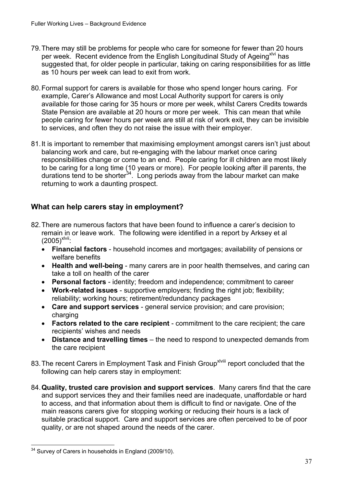- 79.There may still be problems for people who care for someone for fewer than 20 hours per week. Recent evidence from the English Longitudinal Study of Ageing<sup>xlvi</sup> has suggested that, for older people in particular, taking on caring responsibilities for as little as 10 hours per week can lead to exit from work.
- 80.Formal support for carers is available for those who spend longer hours caring. For example, Carer's Allowance and most Local Authority support for carers is only available for those caring for 35 hours or more per week, whilst Carers Credits towards State Pension are available at 20 hours or more per week. This can mean that while people caring for fewer hours per week are still at risk of work exit, they can be invisible to services, and often they do not raise the issue with their employer.
- 81.It is important to remember that maximising employment amongst carers isn't just about balancing work and care, but re-engaging with the labour market once caring responsibilities change or come to an end. People caring for ill children are most likely to be caring for a long time (10 years or more). For people looking after ill parents, the durations tend to be shorter<sup>34</sup>. Long periods away from the labour market can make returning to work a daunting prospect.

#### **What can help carers stay in employment?**

- 82.There are numerous factors that have been found to influence a carer's decision to remain in or leave work. The following were identified in a report by Arksey et al  $(2005)^{x|Vii}$ :
	- **Financial factors** household incomes and mortgages; availability of pensions or welfare benefits
	- **Health and well-being** many carers are in poor health themselves, and caring can take a toll on health of the carer
	- **Personal factors**  identity; freedom and independence; commitment to career
	- **Work-related issues** supportive employers; finding the right job; flexibility; reliability; working hours; retirement/redundancy packages
	- **Care and support services** general service provision; and care provision; charging
	- **Factors related to the care recipient** commitment to the care recipient; the care recipients' wishes and needs
	- **Distance and travelling times** the need to respond to unexpected demands from the care recipient
- 83. The recent Carers in Employment Task and Finish Group<sup>xiviii</sup> report concluded that the following can help carers stay in employment:
- 84.**Quality, trusted care provision and support services**. Many carers find that the care and support services they and their families need are inadequate, unaffordable or hard to access, and that information about them is difficult to find or navigate. One of the main reasons carers give for stopping working or reducing their hours is a lack of suitable practical support. Care and support services are often perceived to be of poor quality, or are not shaped around the needs of the carer.

 $\overline{a}$  $34$  Survey of Carers in households in England (2009/10).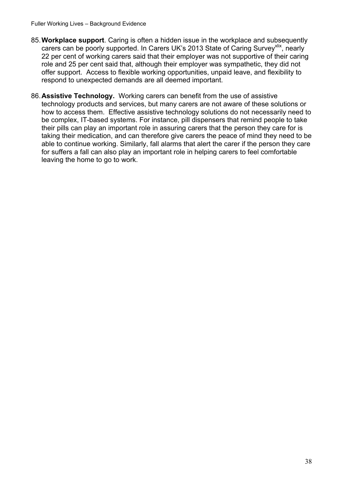- 85.**Workplace support**. Caring is often a hidden issue in the workplace and subsequently carers can be poorly supported. In Carers UK's 2013 State of Caring Survey<sup>xlix</sup>, nearly 22 per cent of working carers said that their employer was not supportive of their caring role and 25 per cent said that, although their employer was sympathetic, they did not offer support. Access to flexible working opportunities, unpaid leave, and flexibility to respond to unexpected demands are all deemed important.
- 86.**Assistive Technology.** Working carers can benefit from the use of assistive technology products and services, but many carers are not aware of these solutions or how to access them. Effective assistive technology solutions do not necessarily need to be complex, IT-based systems. For instance, pill dispensers that remind people to take their pills can play an important role in assuring carers that the person they care for is taking their medication, and can therefore give carers the peace of mind they need to be able to continue working. Similarly, fall alarms that alert the carer if the person they care for suffers a fall can also play an important role in helping carers to feel comfortable leaving the home to go to work.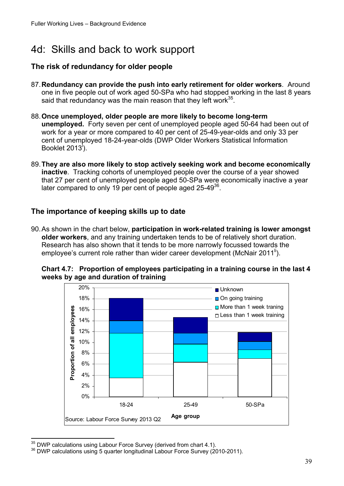## <span id="page-38-0"></span>4d: Skills and back to work support

#### **The risk of redundancy for older people**

- 87.**Redundancy can provide the push into early retirement for older workers**. Around one in five people out of work aged 50-SPa who had stopped working in the last 8 years said that redundancy was the main reason that they left work $35$ .
- 88.**Once unemployed, older people are more likely to become long-term unemployed.** Forty seven per cent of unemployed people aged 50-64 had been out of work for a year or more compared to 40 per cent of 25-49-year-olds and only 33 per cent of unemployed 18-24-year-olds (DWP Older Workers Statistical Information Booklet 2013<sup>1</sup>).
- 89.**They are also more likely to stop actively seeking work and become economically inactive**. Tracking cohorts of unemployed people over the course of a year showed that 27 per cent of unemployed people aged 50-SPa were economically inactive a year later compared to only 19 per cent of people aged 25-49<sup>36</sup>.

#### **The importance of keeping skills up to date**

90.As shown in the chart below, **participation in work-related training is lower amongst older workers**, and any training undertaken tends to be of relatively short duration. Research has also shown that it tends to be more narrowly focussed towards the employee's current role rather than wider career development (McNair 2011<sup>ii</sup>).



**Chart 4.7: Proportion of employees participating in a training course in the last 4 weeks by age and duration of training** 

 $\overline{a}$ 

 $35$  DWP calculations using Labour Force Survey (derived from chart 4.1).<br> $36$  DWP calculations using 5 quarter longitudinal Labour Force Survey (2010-2011).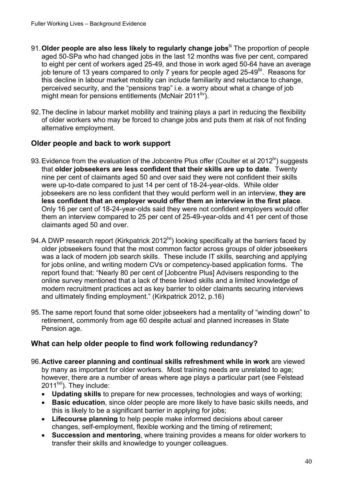- 91.**Older people are also less likely to regularly change jobs**lii The proportion of people aged 50-SPa who had changed jobs in the last 12 months was five per cent, compared to eight per cent of workers aged 25-49, and those in work aged 50-64 have an average job tenure of 13 years compared to only 7 years for people aged 25-49<sup>liii</sup>. Reasons for this decline in labour market mobility can include familiarity and reluctance to change, perceived security, and the "pensions trap" i.e. a worry about what a change of job might mean for pensions entitlements (McNair 2011<sup>liv</sup>).
- 92.The decline in labour market mobility and training plays a part in reducing the flexibility of older workers who may be forced to change jobs and puts them at risk of not finding alternative employment.

#### **Older people and back to work support**

- 93. Evidence from the evaluation of the Jobcentre Plus offer (Coulter et al 2012<sup> $\vee$ </sup>) suggests that **older jobseekers are less confident that their skills are up to date**. Twenty nine per cent of claimants aged 50 and over said they were not confident their skills were up-to-date compared to just 14 per cent of 18-24-year-olds. While older jobseekers are no less confident that they would perform well in an interview, **they are less confident that an employer would offer them an interview in the first place**. Only 16 per cent of 18-24-year-olds said they were not confident employers would offer them an interview compared to 25 per cent of 25-49-year-olds and 41 per cent of those claimants aged 50 and over.
- 94. A DWP research report (Kirkpatrick 2012<sup> $W$ )</sup> looking specifically at the barriers faced by older jobseekers found that the most common factor across groups of older jobseekers was a lack of modern job search skills. These include IT skills, searching and applying for jobs online, and writing modern CVs or competency-based application forms. The report found that: "Nearly 80 per cent of [Jobcentre Plus] Advisers responding to the online survey mentioned that a lack of these linked skills and a limited knowledge of modern recruitment practices act as key barrier to older claimants securing interviews and ultimately finding employment." (Kirkpatrick 2012, p.16)
- 95.The same report found that some older jobseekers had a mentality of "winding down" to retirement, commonly from age 60 despite actual and planned increases in State Pension age.

#### **What can help older people to find work following redundancy?**

- 96.**Active career planning and continual skills refreshment while in work** are viewed by many as important for older workers. Most training needs are unrelated to age; however, there are a number of areas where age plays a particular part (see Felstead  $2011^{\text{Ivii}}$ ). They include:
	- **Updating skills** to prepare for new processes, technologies and ways of working;
	- **Basic education**, since older people are more likely to have basic skills needs, and this is likely to be a significant barrier in applying for jobs;
	- **Lifecourse planning** to help people make informed decisions about career changes, self-employment, flexible working and the timing of retirement;
	- **Succession and mentoring**, where training provides a means for older workers to transfer their skills and knowledge to younger colleagues.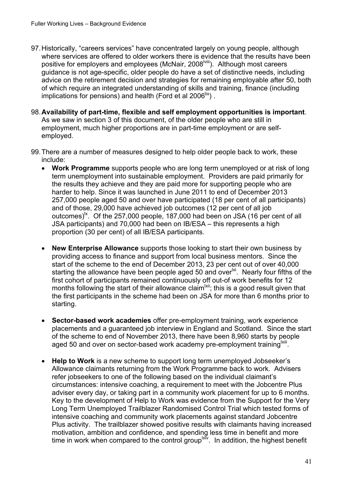- 97.Historically, "careers services" have concentrated largely on young people, although where services are offered to older workers there is evidence that the results have been positive for employers and employees (McNair, 2008<sup>Iviii</sup>). Although most careers guidance is not age-specific, older people do have a set of distinctive needs, including advice on the retirement decision and strategies for remaining employable after 50, both of which require an integrated understanding of skills and training, finance (including implications for pensions) and health (Ford et al 2006<sup>lix</sup>).
- 98.**Availability of part-time, flexible and self employment opportunities is important**. As we saw in section 3 of this document, of the older people who are still in employment, much higher proportions are in part-time employment or are selfemployed.
- 99.There are a number of measures designed to help older people back to work, these include:
	- **Work Programme** supports people who are long term unemployed or at risk of long term unemployment into sustainable employment. Providers are paid primarily for the results they achieve and they are paid more for supporting people who are harder to help. Since it was launched in June 2011 to end of December 2013 257,000 people aged 50 and over have participated (18 per cent of all participants) and of those, 29,000 have achieved job outcomes (12 per cent of all job outcomes)<sup>1x</sup>. Of the 257,000 people, 187,000 had been on JSA (16 per cent of all JSA participants) and 70,000 had been on IB/ESA – this represents a high proportion (30 per cent) of all IB/ESA participants.
	- **New Enterprise Allowance** supports those looking to start their own business by providing access to finance and support from local business mentors. Since the start of the scheme to the end of December 2013, 23 per cent out of over 40,000 starting the allowance have been people aged 50 and over<sup>lxi</sup>. Nearly four fifths of the first cohort of participants remained continuously off out-of work benefits for 12 months following the start of their allowance claim  $\frac{dx}{dx}$ ; this is a good result given that the first participants in the scheme had been on JSA for more than 6 months prior to starting.
	- **Sector-based work academies** offer pre-employment training, work experience placements and a guaranteed job interview in England and Scotland. Since the start of the scheme to end of November 2013, there have been 8,960 starts by people aged 50 and over on sector-based work academy pre-employment training Xill.
	- **Help to Work** is a new scheme to support long term unemployed Jobseeker's Allowance claimants returning from the Work Programme back to work. Advisers refer jobseekers to one of the following based on the individual claimant's circumstances: intensive coaching, a requirement to meet with the Jobcentre Plus adviser every day, or taking part in a community work placement for up to 6 months. Key to the development of Help to Work was evidence from the Support for the Very Long Term Unemployed Trailblazer Randomised Control Trial which tested forms of intensive coaching and community work placements against standard Jobcentre Plus activity. The trailblazer showed positive results with claimants having increased motivation, ambition and confidence, and spending less time in benefit and more time in work when compared to the control group<sup>lxiv</sup>. In addition, the highest benefit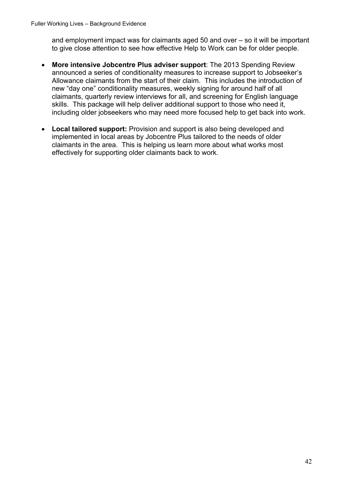and employment impact was for claimants aged 50 and over – so it will be important to give close attention to see how effective Help to Work can be for older people.

- **More intensive Jobcentre Plus adviser support**: The 2013 Spending Review announced a series of conditionality measures to increase support to Jobseeker's Allowance claimants from the start of their claim. This includes the introduction of new "day one" conditionality measures, weekly signing for around half of all claimants, quarterly review interviews for all, and screening for English language skills. This package will help deliver additional support to those who need it, including older jobseekers who may need more focused help to get back into work.
- **Local tailored support:** Provision and support is also being developed and implemented in local areas by Jobcentre Plus tailored to the needs of older claimants in the area. This is helping us learn more about what works most effectively for supporting older claimants back to work.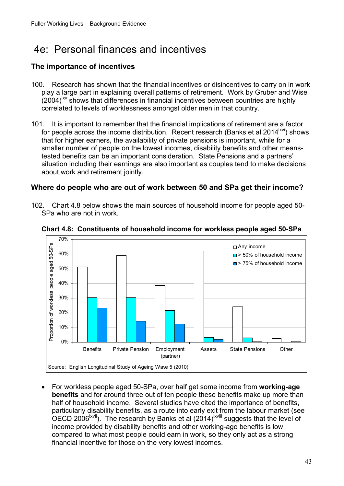## <span id="page-42-0"></span>4e: Personal finances and incentives

#### **The importance of incentives**

- 100. Research has shown that the financial incentives or disincentives to carry on in work play a large part in explaining overall patterns of retirement. Work by Gruber and Wise  $(2004)^{xy}$  shows that differences in financial incentives between countries are highly correlated to levels of worklessness amongst older men in that country.
- 101. It is important to remember that the financial implications of retirement are a factor for people across the income distribution. Recent research (Banks et al 2014<sup> $|xvi$ </sup>) shows that for higher earners, the availability of private pensions is important, while for a smaller number of people on the lowest incomes, disability benefits and other meanstested benefits can be an important consideration. State Pensions and a partners' situation including their earnings are also important as couples tend to make decisions about work and retirement jointly.

#### **Where do people who are out of work between 50 and SPa get their income?**

102. Chart 4.8 below shows the main sources of household income for people aged 50 SPa who are not in work.



**Chart 4.8: Constituents of household income for workless people aged 50-SPa** 

 For workless people aged 50-SPa, over half get some income from **working-age benefits** and for around three out of ten people these benefits make up more than half of household income. Several studies have cited the importance of benefits, particularly disability benefits, as a route into early exit from the labour market (see OECD 2006<sup>lxvii</sup>). The research by Banks et al (2014)<sup>lxviii</sup> suggests that the level of income provided by disability benefits and other working-age benefits is low compared to what most people could earn in work, so they only act as a strong financial incentive for those on the very lowest incomes.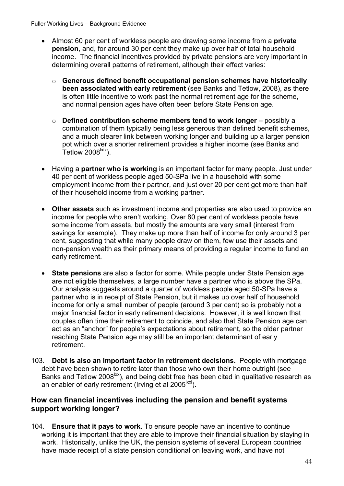Fuller Working Lives – Background Evidence

- Almost 60 per cent of workless people are drawing some income from a **private pension**, and, for around 30 per cent they make up over half of total household income. The financial incentives provided by private pensions are very important in determining overall patterns of retirement, although their effect varies:
	- o **Generous defined benefit occupational pension schemes have historically been associated with early retirement** (see Banks and Tetlow, 2008), as there is often little incentive to work past the normal retirement age for the scheme, and normal pension ages have often been before State Pension age.
	- o **Defined contribution scheme members tend to work longer** possibly a combination of them typically being less generous than defined benefit schemes, and a much clearer link between working longer and building up a larger pension pot which over a shorter retirement provides a higher income (see Banks and Tetlow  $2008$ <sup> $\text{txi}$ </sup>).
- Having a **partner who is working** is an important factor for many people. Just under 40 per cent of workless people aged 50-SPa live in a household with some employment income from their partner, and just over 20 per cent get more than half of their household income from a working partner.
- **Other assets** such as investment income and properties are also used to provide an income for people who aren't working. Over 80 per cent of workless people have some income from assets, but mostly the amounts are very small (interest from savings for example). They make up more than half of income for only around 3 per cent, suggesting that while many people draw on them, few use their assets and non-pension wealth as their primary means of providing a regular income to fund an early retirement.
- **State pensions** are also a factor for some. While people under State Pension age are not eligible themselves, a large number have a partner who is above the SPa. Our analysis suggests around a quarter of workless people aged 50-SPa have a partner who is in receipt of State Pension, but it makes up over half of household income for only a small number of people (around 3 per cent) so is probably not a major financial factor in early retirement decisions. However, it is well known that couples often time their retirement to coincide, and also that State Pension age can act as an "anchor" for people's expectations about retirement, so the older partner reaching State Pension age may still be an important determinant of early retirement.
- 103. **Debt is also an important factor in retirement decisions.** People with mortgage debt have been shown to retire later than those who own their home outright (see Banks and Tetlow 2008<sup>lxx</sup>), and being debt free has been cited in qualitative research as an enabler of early retirement (Irving et al  $2005^{\text{txx}}$ ).

#### **How can financial incentives including the pension and benefit systems support working longer?**

 work. Historically, unlike the UK, the pension systems of several European countries 104. **Ensure that it pays to work.** To ensure people have an incentive to continue working it is important that they are able to improve their financial situation by staying in have made receipt of a state pension conditional on leaving work, and have not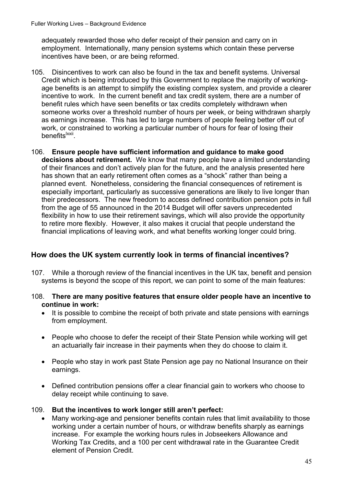adequately rewarded those who defer receipt of their pension and carry on in employment. Internationally, many pension systems which contain these perverse incentives have been, or are being reformed.

- 105. Disincentives to work can also be found in the tax and benefit systems. Universal Credit which is being introduced by this Government to replace the majority of workingage benefits is an attempt to simplify the existing complex system, and provide a clearer incentive to work. In the current benefit and tax credit system, there are a number of benefit rules which have seen benefits or tax credits completely withdrawn when someone works over a threshold number of hours per week, or being withdrawn sharply as earnings increase. This has led to large numbers of people feeling better off out of work, or constrained to working a particular number of hours for fear of losing their benefits<sup>lxxii</sup>.
- 106. **Ensure people have sufficient information and guidance to make good decisions about retirement.** We know that many people have a limited understanding of their finances and don't actively plan for the future, and the analysis presented here has shown that an early retirement often comes as a "shock" rather than being a planned event. Nonetheless, considering the financial consequences of retirement is especially important, particularly as successive generations are likely to live longer than their predecessors. The new freedom to access defined contribution pension pots in full from the age of 55 announced in the 2014 Budget will offer savers unprecedented flexibility in how to use their retirement savings, which will also provide the opportunity to retire more flexibly. However, it also makes it crucial that people understand the financial implications of leaving work, and what benefits working longer could bring.

#### **How does the UK system currently look in terms of financial incentives?**

- 107. While a thorough review of the financial incentives in the UK tax, benefit and pension systems is beyond the scope of this report, we can point to some of the main features:
- 108. **There are many positive features that ensure older people have an incentive to continue in work:** 
	- It is possible to combine the receipt of both private and state pensions with earnings from employment.
	- People who choose to defer the receipt of their State Pension while working will get an actuarially fair increase in their payments when they do choose to claim it.
	- People who stay in work past State Pension age pay no National Insurance on their earnings.
	- Defined contribution pensions offer a clear financial gain to workers who choose to delay receipt while continuing to save.

#### 109. **But the incentives to work longer still aren't perfect:**

 Many working-age and pensioner benefits contain rules that limit availability to those working under a certain number of hours, or withdraw benefits sharply as earnings increase. For example the working hours rules in Jobseekers Allowance and Working Tax Credits, and a 100 per cent withdrawal rate in the Guarantee Credit element of Pension Credit.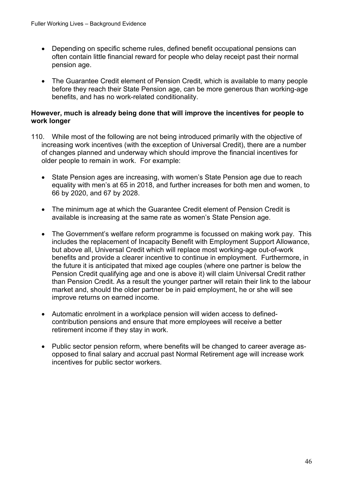- Depending on specific scheme rules, defined benefit occupational pensions can often contain little financial reward for people who delay receipt past their normal pension age.
- The Guarantee Credit element of Pension Credit, which is available to many people before they reach their State Pension age, can be more generous than working-age benefits, and has no work-related conditionality.

#### **However, much is already being done that will improve the incentives for people to work longer**

- 110. While most of the following are not being introduced primarily with the objective of increasing work incentives (with the exception of Universal Credit), there are a number of changes planned and underway which should improve the financial incentives for older people to remain in work. For example:
	- State Pension ages are increasing, with women's State Pension age due to reach equality with men's at 65 in 2018, and further increases for both men and women, to 66 by 2020, and 67 by 2028.
	- The minimum age at which the Guarantee Credit element of Pension Credit is available is increasing at the same rate as women's State Pension age.
	- The Government's welfare reform programme is focussed on making work pay. This includes the replacement of Incapacity Benefit with Employment Support Allowance, but above all, Universal Credit which will replace most working-age out-of-work benefits and provide a clearer incentive to continue in employment. Furthermore, in the future it is anticipated that mixed age couples (where one partner is below the Pension Credit qualifying age and one is above it) will claim Universal Credit rather than Pension Credit. As a result the younger partner will retain their link to the labour market and, should the older partner be in paid employment, he or she will see improve returns on earned income.
	- Automatic enrolment in a workplace pension will widen access to definedcontribution pensions and ensure that more employees will receive a better retirement income if they stay in work.
	- Public sector pension reform, where benefits will be changed to career average asopposed to final salary and accrual past Normal Retirement age will increase work incentives for public sector workers.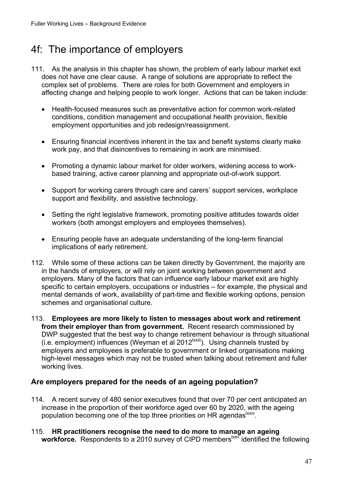## <span id="page-46-0"></span>4f: The importance of employers

- 111. As the analysis in this chapter has shown, the problem of early labour market exit does not have one clear cause. A range of solutions are appropriate to reflect the complex set of problems. There are roles for both Government and employers in affecting change and helping people to work longer. Actions that can be taken include:
	- Health-focused measures such as preventative action for common work-related conditions, condition management and occupational health provision, flexible employment opportunities and job redesign/reassignment.
	- Ensuring financial incentives inherent in the tax and benefit systems clearly make work pay, and that disincentives to remaining in work are minimised.
	- Promoting a dynamic labour market for older workers, widening access to workbased training, active career planning and appropriate out-of-work support.
	- Support for working carers through care and carers' support services, workplace support and flexibility, and assistive technology.
	- Setting the right legislative framework, promoting positive attitudes towards older workers (both amongst employers and employees themselves).
	- Ensuring people have an adequate understanding of the long-term financial implications of early retirement.
- 112. While some of these actions can be taken directly by Government, the majority are in the hands of employers, or will rely on joint working between government and employers. Many of the factors that can influence early labour market exit are highly specific to certain employers, occupations or industries – for example, the physical and mental demands of work, availability of part-time and flexible working options, pension schemes and organisational culture.
- 113. **Employees are more likely to listen to messages about work and retirement from their employer than from government.** Recent research commissioned by DWP suggested that the best way to change retirement behaviour is through situational (i.e. employment) influences (Weyman et al  $2012^{|x x|}$ ). Using channels trusted by employers and employees is preferable to government or linked organisations making high-level messages which may not be trusted when talking about retirement and fuller working lives.

#### **Are employers prepared for the needs of an ageing population?**

- 114. A recent survey of 480 senior executives found that over 70 per cent anticipated an increase in the proportion of their workforce aged over 60 by 2020, with the ageing population becoming one of the top three priorities on HR agendas xxiv.
- 115. **HR practitioners recognise the need to do more to manage an ageing**  workforce. Respondents to a 2010 survey of CIPD members<sup>lxxy</sup> identified the following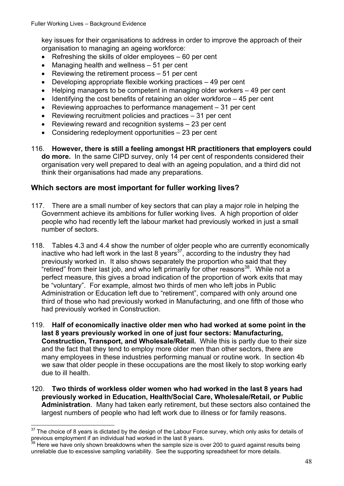key issues for their organisations to address in order to improve the approach of their organisation to managing an ageing workforce:

- $\bullet$  Refreshing the skills of older employees  $-60$  per cent
- Managing health and wellness 51 per cent
- Reviewing the retirement process  $-51$  per cent
- $\bullet$  Developing appropriate flexible working practices  $-49$  per cent
- Helping managers to be competent in managing older workers 49 per cent
- $\bullet$  Identifying the cost benefits of retaining an older workforce  $-45$  per cent
- Reviewing approaches to performance management 31 per cent
- Reviewing recruitment policies and practices 31 per cent
- Reviewing reward and recognition systems 23 per cent
- Considering redeployment opportunities 23 per cent
- 116. **However, there is still a feeling amongst HR practitioners that employers could do more.** In the same CIPD survey, only 14 per cent of respondents considered their organisation very well prepared to deal with an ageing population, and a third did not think their organisations had made any preparations.

#### **Which sectors are most important for fuller working lives?**

- 117. There are a small number of key sectors that can play a major role in helping the Government achieve its ambitions for fuller working lives. A high proportion of older people who had recently left the labour market had previously worked in just a small number of sectors.
- 118. Tables 4.3 and 4.4 show the number of older people who are currently economically inactive who had left work in the last 8 years<sup>37</sup>, according to the industry they had previously worked in. It also shows separately the proportion who said that they "retired" from their last job, and who left primarily for other reasons $38$ . While not a perfect measure, this gives a broad indication of the proportion of work exits that may be "voluntary". For example, almost two thirds of men who left jobs in Public Administration or Education left due to "retirement", compared with only around one third of those who had previously worked in Manufacturing, and one fifth of those who had previously worked in Construction.
- 119. **Half of economically inactive older men who had worked at some point in the last 8 years previously worked in one of just four sectors: Manufacturing, Construction, Transport, and Wholesale/Retail.** While this is partly due to their size and the fact that they tend to employ more older men than other sectors, there are many employees in these industries performing manual or routine work. In section 4b we saw that older people in these occupations are the most likely to stop working early due to ill health.
- 120. **Two thirds of workless older women who had worked in the last 8 years had previously worked in Education, Health/Social Care, Wholesale/Retail, or Public Administration**. Many had taken early retirement, but these sectors also contained the largest numbers of people who had left work due to illness or for family reasons.

<sup>37</sup> <sup>37</sup> The choice of 8 years is dictated by the design of the Labour Force survey, which only asks for details of previous employment if an individual had worked in the last 8 years.<br><sup>38</sup> Here we have only shown brackdowns

Here we have only shown breakdowns when the sample size is over 200 to guard against results being unreliable due to excessive sampling variability. See the supporting spreadsheet for more details.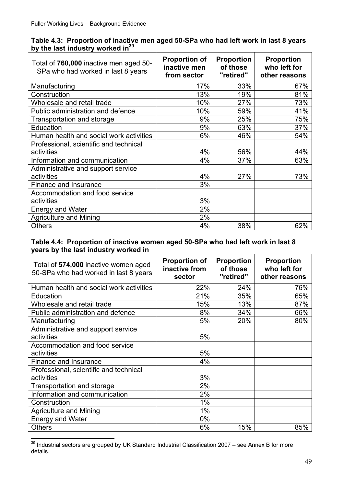|  | Table 4.3: Proportion of inactive men aged 50-SPa who had left work in last 8 years |  |  |  |
|--|-------------------------------------------------------------------------------------|--|--|--|
|  | by the last industry worked in <sup>39</sup>                                        |  |  |  |

| Total of 760,000 inactive men aged 50-<br>SPa who had worked in last 8 years | <b>Proportion of</b><br>inactive men<br>from sector | <b>Proportion</b><br>of those<br>"retired" | <b>Proportion</b><br>who left for<br>other reasons |
|------------------------------------------------------------------------------|-----------------------------------------------------|--------------------------------------------|----------------------------------------------------|
| Manufacturing                                                                | 17%                                                 | 33%                                        | 67%                                                |
| Construction                                                                 | 13%                                                 | 19%                                        | 81%                                                |
| Wholesale and retail trade                                                   | 10%                                                 | 27%                                        | 73%                                                |
| Public administration and defence                                            | 10%                                                 | 59%                                        | 41%                                                |
| Transportation and storage                                                   | 9%                                                  | 25%                                        | 75%                                                |
| Education                                                                    | 9%                                                  | 63%                                        | 37%                                                |
| Human health and social work activities                                      | 6%                                                  | 46%                                        | 54%                                                |
| Professional, scientific and technical                                       |                                                     |                                            |                                                    |
| activities                                                                   | 4%                                                  | 56%                                        | 44%                                                |
| Information and communication                                                | 4%                                                  | 37%                                        | 63%                                                |
| Administrative and support service                                           |                                                     |                                            |                                                    |
| activities                                                                   | 4%                                                  | 27%                                        | 73%                                                |
| Finance and Insurance                                                        | 3%                                                  |                                            |                                                    |
| Accommodation and food service                                               |                                                     |                                            |                                                    |
| activities                                                                   | 3%                                                  |                                            |                                                    |
| <b>Energy and Water</b>                                                      | 2%                                                  |                                            |                                                    |
| <b>Agriculture and Mining</b>                                                | 2%                                                  |                                            |                                                    |
| <b>Others</b>                                                                | 4%                                                  | 38%                                        | 62%                                                |

#### **Table 4.4: Proportion of inactive women aged 50-SPa who had left work in last 8 years by the last industry worked in**

| Total of 574,000 inactive women aged<br>50-SPa who had worked in last 8 years | <b>Proportion of</b><br>inactive from<br>sector | <b>Proportion</b><br>of those<br>"retired" | <b>Proportion</b><br>who left for<br>other reasons |
|-------------------------------------------------------------------------------|-------------------------------------------------|--------------------------------------------|----------------------------------------------------|
| Human health and social work activities                                       | 22%                                             | 24%                                        | 76%                                                |
| Education                                                                     | 21%                                             | 35%                                        | 65%                                                |
| Wholesale and retail trade                                                    | 15%                                             | 13%                                        | 87%                                                |
| Public administration and defence                                             | 8%                                              | 34%                                        | 66%                                                |
| Manufacturing                                                                 | 5%                                              | 20%                                        | 80%                                                |
| Administrative and support service                                            |                                                 |                                            |                                                    |
| activities                                                                    | 5%                                              |                                            |                                                    |
| Accommodation and food service                                                |                                                 |                                            |                                                    |
| activities                                                                    | 5%                                              |                                            |                                                    |
| Finance and Insurance                                                         | 4%                                              |                                            |                                                    |
| Professional, scientific and technical                                        |                                                 |                                            |                                                    |
| activities                                                                    | 3%                                              |                                            |                                                    |
| Transportation and storage                                                    | 2%                                              |                                            |                                                    |
| Information and communication                                                 | 2%                                              |                                            |                                                    |
| Construction                                                                  | 1%                                              |                                            |                                                    |
| <b>Agriculture and Mining</b>                                                 | 1%                                              |                                            |                                                    |
| <b>Energy and Water</b>                                                       | $0\%$                                           |                                            |                                                    |
| <b>Others</b>                                                                 | 6%                                              | 15%                                        | 85%                                                |

 $39$  Industrial sectors are grouped by UK Standard Industrial Classification 2007 – see Annex B for more details.

 $\overline{a}$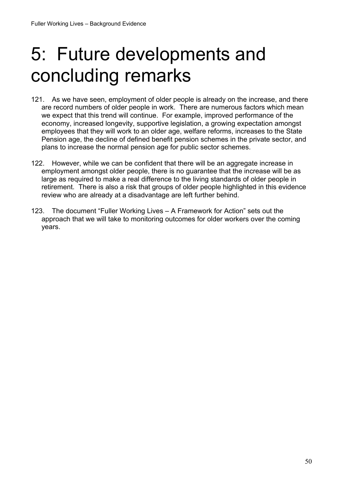## <span id="page-49-0"></span>5: Future developments and concluding remarks

- 121. As we have seen, employment of older people is already on the increase, and there are record numbers of older people in work. There are numerous factors which mean we expect that this trend will continue. For example, improved performance of the economy, increased longevity, supportive legislation, a growing expectation amongst employees that they will work to an older age, welfare reforms, increases to the State Pension age, the decline of defined benefit pension schemes in the private sector, and plans to increase the normal pension age for public sector schemes.
- 122. However, while we can be confident that there will be an aggregate increase in employment amongst older people, there is no guarantee that the increase will be as large as required to make a real difference to the living standards of older people in retirement. There is also a risk that groups of older people highlighted in this evidence review who are already at a disadvantage are left further behind.
- 123. The document "Fuller Working Lives A Framework for Action" sets out the approach that we will take to monitoring outcomes for older workers over the coming years.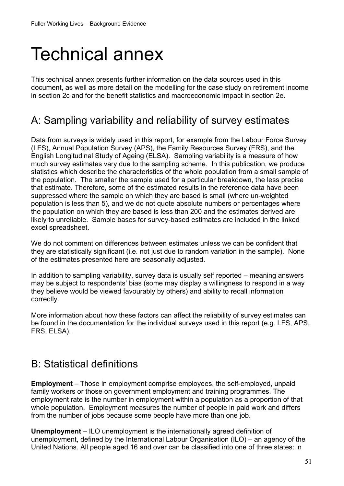## <span id="page-50-0"></span>Technical annex

This technical annex presents further information on the data sources used in this document, as well as more detail on the modelling for the case study on retirement income in section 2c and for the benefit statistics and macroeconomic impact in section 2e.

### A: Sampling variability and reliability of survey estimates

Data from surveys is widely used in this report, for example from the Labour Force Survey (LFS), Annual Population Survey (APS), the Family Resources Survey (FRS), and the English Longitudinal Study of Ageing (ELSA). Sampling variability is a measure of how much survey estimates vary due to the sampling scheme. In this publication, we produce statistics which describe the characteristics of the whole population from a small sample of the population. The smaller the sample used for a particular breakdown, the less precise that estimate. Therefore, some of the estimated results in the reference data have been suppressed where the sample on which they are based is small (where un-weighted population is less than 5), and we do not quote absolute numbers or percentages where the population on which they are based is less than 200 and the estimates derived are likely to unreliable. Sample bases for survey-based estimates are included in the linked excel spreadsheet.

We do not comment on differences between estimates unless we can be confident that they are statistically significant (i.e. not just due to random variation in the sample). None of the estimates presented here are seasonally adjusted.

In addition to sampling variability, survey data is usually self reported – meaning answers may be subject to respondents' bias (some may display a willingness to respond in a way they believe would be viewed favourably by others) and ability to recall information correctly.

More information about how these factors can affect the reliability of survey estimates can be found in the documentation for the individual surveys used in this report (e.g. LFS, APS, FRS, ELSA).

### B: Statistical definitions

**Employment** – Those in employment comprise employees, the self-employed, unpaid family workers or those on government employment and training programmes. The employment rate is the number in employment within a population as a proportion of that whole population. Employment measures the number of people in paid work and differs from the number of jobs because some people have more than one job.

**Unemployment** – ILO unemployment is the internationally agreed definition of unemployment, defined by the International Labour Organisation (ILO) – an agency of the United Nations. All people aged 16 and over can be classified into one of three states: in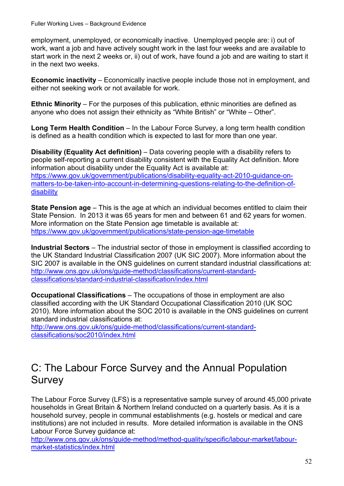<span id="page-51-0"></span>employment, unemployed, or economically inactive. Unemployed people are: i) out of work, want a job and have actively sought work in the last four weeks and are available to start work in the next 2 weeks or, ii) out of work, have found a job and are waiting to start it in the next two weeks.

**Economic inactivity** – Economically inactive people include those not in employment, and either not seeking work or not available for work.

**Ethnic Minority** – For the purposes of this publication, ethnic minorities are defined as anyone who does not assign their ethnicity as "White British" or "White – Other".

**Long Term Health Condition** – In the Labour Force Survey, a long term health condition is defined as a health condition which is expected to last for more than one year.

disability **Disability (Equality Act definition)** – Data covering people with a disability refers to people self-reporting a current disability consistent with the Equality Act definition. More information about disability under the Equality Act is available at: https://www.gov.uk/government/publications/disability-equality-act-2010-guidance-onmatters-to-be-taken-into-account-in-determining-questions-relating-to-the-definition-of-

**State Pension age** – This is the age at which an individual becomes entitled to claim their State Pension. In 2013 it was 65 years for men and between 61 and 62 years for women. More information on the State Pension age timetable is available at: https://www.gov.uk/government/publications/state-pension-age-timetable

 classifications/standard-industrial-classification/index.html **Industrial Sectors** – The industrial sector of those in employment is classified according to the UK Standard Industrial Classification 2007 (UK SIC 2007). More information about the SIC 2007 is available in the ONS guidelines on current standard industrial classifications at: http://www.ons.gov.uk/ons/guide-method/classifications/current-standard-

**Occupational Classifications** – The occupations of those in employment are also classified according with the UK Standard Occupational Classification 2010 (UK SOC 2010). More information about the SOC 2010 is available in the ONS guidelines on current standard industrial classifications at:

classifications/soc2010/index.html http://www.ons.gov.uk/ons/guide-method/classifications/current-standard-

### C: The Labour Force Survey and the Annual Population Survey

The Labour Force Survey (LFS) is a representative sample survey of around 45,000 private households in Great Britain & Northern Ireland conducted on a quarterly basis. As it is a household survey, people in communal establishments (e.g. hostels or medical and care institutions) are not included in results. More detailed information is available in the ONS Labour Force Survey guidance at:

http://www.ons.gov.uk/ons/guide-method/method-quality/specific/labour-market/labourmarket-statistics/index.html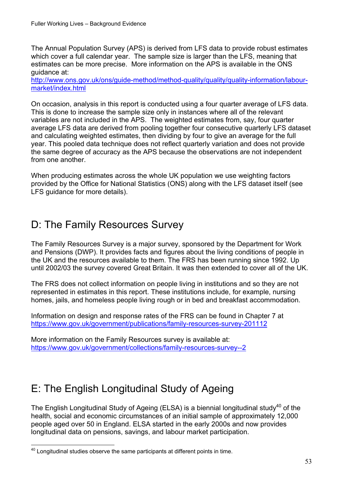<span id="page-52-0"></span>The Annual Population Survey (APS) is derived from LFS data to provide robust estimates which cover a full calendar year. The sample size is larger than the LFS, meaning that estimates can be more precise. More information on the APS is available in the ONS guidance at:

market/index.html http://www.ons.gov.uk/ons/guide-method/method-quality/quality/quality-information/labour-

On occasion, analysis in this report is conducted using a four quarter average of LFS data. This is done to increase the sample size only in instances where all of the relevant variables are not included in the APS. The weighted estimates from, say, four quarter average LFS data are derived from pooling together four consecutive quarterly LFS dataset and calculating weighted estimates, then dividing by four to give an average for the full year. This pooled data technique does not reflect quarterly variation and does not provide the same degree of accuracy as the APS because the observations are not independent from one another.

When producing estimates across the whole UK population we use weighting factors provided by the Office for National Statistics (ONS) along with the LFS dataset itself (see LFS guidance for more details).

## D: The Family Resources Survey

The Family Resources Survey is a major survey, sponsored by the Department for Work and Pensions (DWP). It provides facts and figures about the living conditions of people in the UK and the resources available to them. The FRS has been running since 1992. Up until 2002/03 the survey covered Great Britain. It was then extended to cover all of the UK.

The FRS does not collect information on people living in institutions and so they are not represented in estimates in this report. These institutions include, for example, nursing homes, jails, and homeless people living rough or in bed and breakfast accommodation.

Information on design and response rates of the FRS can be found in Chapter 7 at

<u>https://www.gov.uk/government/publications/family-resources-survey-201112</u><br>More information on the Family Resources survey is available at: https://www.gov.uk/government/collections/family-resources-survey--2

## E: The English Longitudinal Study of Ageing

The English Longitudinal Study of Ageing (ELSA) is a biennial longitudinal study<sup>40</sup> of the health, social and economic circumstances of an initial sample of approximately 12,000 people aged over 50 in England. ELSA started in the early 2000s and now provides longitudinal data on pensions, savings, and labour market participation.

 $\overline{a}$  $40$  Longitudinal studies observe the same participants at different points in time.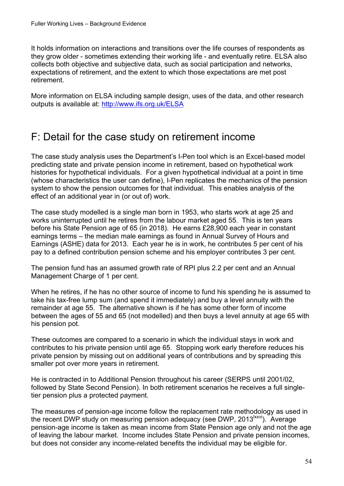<span id="page-53-0"></span>It holds information on interactions and transitions over the life courses of respondents as they grow older - sometimes extending their working life - and eventually retire. ELSA also collects both objective and subjective data, such as social participation and networks, expectations of retirement, and the extent to which those expectations are met post retirement.

outputs is available at: http://www.ifs.org.uk/ELSA More information on ELSA including sample design, uses of the data, and other research

### F: Detail for the case study on retirement income

The case study analysis uses the Department's I-Pen tool which is an Excel-based model predicting state and private pension income in retirement, based on hypothetical work histories for hypothetical individuals. For a given hypothetical individual at a point in time (whose characteristics the user can define), I-Pen replicates the mechanics of the pension system to show the pension outcomes for that individual. This enables analysis of the effect of an additional year in (or out of) work.

The case study modelled is a single man born in 1953, who starts work at age 25 and works uninterrupted until he retires from the labour market aged 55. This is ten years before his State Pension age of 65 (in 2018). He earns £28,900 each year in constant earnings terms – the median male earnings as found in Annual Survey of Hours and Earnings (ASHE) data for 2013. Each year he is in work, he contributes 5 per cent of his pay to a defined contribution pension scheme and his employer contributes 3 per cent.

The pension fund has an assumed growth rate of RPI plus 2.2 per cent and an Annual Management Charge of 1 per cent.

When he retires, if he has no other source of income to fund his spending he is assumed to take his tax-free lump sum (and spend it immediately) and buy a level annuity with the remainder at age 55. The alternative shown is if he has some other form of income between the ages of 55 and 65 (not modelled) and then buys a level annuity at age 65 with his pension pot.

These outcomes are compared to a scenario in which the individual stays in work and contributes to his private pension until age 65. Stopping work early therefore reduces his private pension by missing out on additional years of contributions and by spreading this smaller pot over more years in retirement.

He is contracted in to Additional Pension throughout his career (SERPS until 2001/02, followed by State Second Pension). In both retirement scenarios he receives a full singletier pension plus a protected payment.

The measures of pension-age income follow the replacement rate methodology as used in the recent DWP study on measuring pension adequacy (see DWP, 2013<sup>Ixxvi</sup>). Average pension-age income is taken as mean income from State Pension age only and not the age of leaving the labour market. Income includes State Pension and private pension incomes, but does not consider any income-related benefits the individual may be eligible for.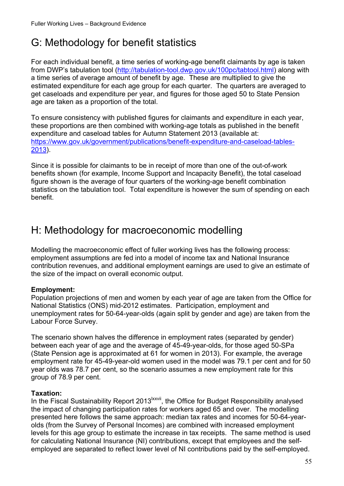## <span id="page-54-0"></span>G: Methodology for benefit statistics

For each individual benefit, a time series of working-age benefit claimants by age is taken from DWP's tabulation tool (http://tabulation-tool.dwp.gov.uk/100pc/tabtool.html) along with a time series of average amount of benefit by age. These are multiplied to give the estimated expenditure for each age group for each quarter. The quarters are averaged to get caseloads and expenditure per year, and figures for those aged 50 to State Pension age are taken as a proportion of the total.

To ensure consistency with published figures for claimants and expenditure in each year, these proportions are then combined with working-age totals as published in the benefit expenditure and caseload tables for Autumn Statement 2013 (available at: https://www.gov.uk/government/publications/benefit-expenditure-and-caseload-tables-[2013\)](https://www.gov.uk/government/publications/benefit-expenditure-and-caseload-tables-2013).

Since it is possible for claimants to be in receipt of more than one of the out-of-work benefits shown (for example, Income Support and Incapacity Benefit), the total caseload figure shown is the average of four quarters of the working-age benefit combination statistics on the tabulation tool. Total expenditure is however the sum of spending on each benefit.

## H: Methodology for macroeconomic modelling

Modelling the macroeconomic effect of fuller working lives has the following process: employment assumptions are fed into a model of income tax and National Insurance contribution revenues, and additional employment earnings are used to give an estimate of the size of the impact on overall economic output.

#### **Employment:**

Population projections of men and women by each year of age are taken from the Office for National Statistics (ONS) mid-2012 estimates. Participation, employment and unemployment rates for 50-64-year-olds (again split by gender and age) are taken from the Labour Force Survey.

The scenario shown halves the difference in employment rates (separated by gender) between each year of age and the average of 45-49-year-olds, for those aged 50-SPa (State Pension age is approximated at 61 for women in 2013). For example, the average employment rate for 45-49-year-old women used in the model was 79.1 per cent and for 50 year olds was 78.7 per cent, so the scenario assumes a new employment rate for this group of 78.9 per cent.

#### **Taxation:**

In the Fiscal Sustainability Report 2013<sup>Ixxvii</sup>, the Office for Budget Responsibility analysed the impact of changing participation rates for workers aged 65 and over. The modelling presented here follows the same approach: median tax rates and incomes for 50-64-yearolds (from the Survey of Personal Incomes) are combined with increased employment levels for this age group to estimate the increase in tax receipts. The same method is used for calculating National Insurance (NI) contributions, except that employees and the selfemployed are separated to reflect lower level of NI contributions paid by the self-employed.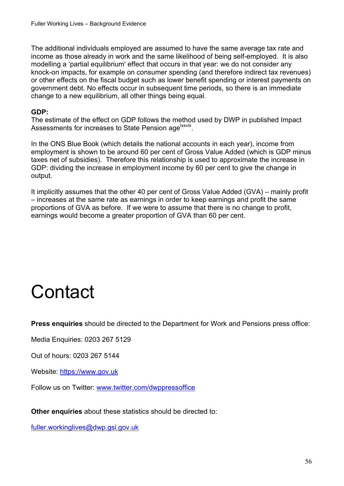<span id="page-55-0"></span>The additional individuals employed are assumed to have the same average tax rate and income as those already in work and the same likelihood of being self-employed. It is also modelling a 'partial equilibrium' effect that occurs in that year: we do not consider any knock-on impacts, for example on consumer spending (and therefore indirect tax revenues) or other effects on the fiscal budget such as lower benefit spending or interest payments on government debt. No effects occur in subsequent time periods, so there is an immediate change to a new equilibrium, all other things being equal.

#### **GDP:**

The estimate of the effect on GDP follows the method used by DWP in published Impact Assessments for increases to State Pension age<sup>lxxviii</sup>.

In the ONS Blue Book (which details the national accounts in each year), income from employment is shown to be around 60 per cent of Gross Value Added (which is GDP minus taxes net of subsidies). Therefore this relationship is used to approximate the increase in GDP: dividing the increase in employment income by 60 per cent to give the change in output.

It implicitly assumes that the other 40 per cent of Gross Value Added (GVA) – mainly profit – increases at the same rate as earnings in order to keep earnings and profit the same proportions of GVA as before. If we were to assume that there is no change to profit, earnings would become a greater proportion of GVA than 60 per cent.

## **Contact**

**Press enquiries** should be directed to the Department for Work and Pensions press office:

Media Enquiries: 0203 267 5129

Out of hours: 0203 267 5144

Website: https://www.gov.uk

Website: <u>https://www.gov.uk</u><br>Follow us on Twitter: <u>www.twitter.com/dwppressoffice</u>

**Other enquiries** about these statistics should be directed to:

fuller.workinglives@dwp.gsi.gov.uk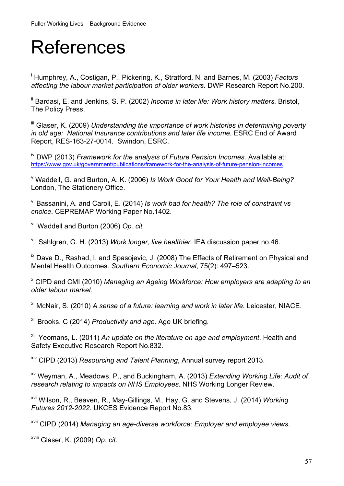## <span id="page-56-0"></span>References

 $\overline{a}$ 

i Humphrey, A., Costigan, P., Pickering, K., Stratford, N. and Barnes, M. (2003) *Factors affecting the labour market participation of older workers.* DWP Research Report No.200.

<sup>ii</sup> Bardasi, E. and Jenkins, S. P. (2002) *Income in later life: Work history matters.* Bristol, The Policy Press.

iii Glaser, K. (2009) *Understanding the importance of work histories in determining poverty in old age: National Insurance contributions and later life income.* ESRC End of Award Report, RES-163-27-0014. Swindon, ESRC.

https://www.gov.uk/government/publications/framework-for-the-analysis-of-future-pension-incomes<br><sup>v</sup>.Woddoll, C. and Burton, A. K. (2006) Jo Work Cood for Vour Hoolth and Woll Boir iv DWP (2013) *Framework for the analysis of Future Pension Incomes.* Available at:

 Waddell, G. and Burton, A. K. (2006) *Is Work Good for Your Health and Well-Being?*  London, The Stationery Office.

vi Bassanini, A. and Caroli, E. (2014) *Is work bad for health? The role of constraint vs choice*. CEPREMAP Working Paper No.1402.

vii Waddell and Burton (2006) *Op. cit.*

viii Sahlgren, G. H. (2013) *Work longer, live healthier*. IEA discussion paper no.46.

<sup>ix</sup> Dave D., Rashad, I. and Spasojevic, J. (2008) The Effects of Retirement on Physical and Mental Health Outcomes. *Southern Economic Journal*, 75(2): 497–523.

x CIPD and CMI (2010) *Managing an Ageing Workforce: How employers are adapting to an older labour market*.

xi McNair, S. (2010) *A sense of a future: learning and work in later life.* Leicester, NIACE.

xii Brooks, C (2014) *Productivity and age.* Age UK briefing.

xiii Yeomans, L. (2011) *An update on the literature on age and employment*. Health and Safety Executive Research Report No.832.

xiv CIPD (2013) *Resourcing and Talent Planning*, Annual survey report 2013.

xv Weyman, A., Meadows, P., and Buckingham, A. (2013) *Extending Working Life: Audit of research relating to impacts on NHS Employees*. NHS Working Longer Review.

xvi Wilson, R., Beaven, R., May-Gillings, M., Hay, G. and Stevens, J. (2014) *Working Futures 2012-2022.* UKCES Evidence Report No.83.

xvii CIPD (2014) *Managing an age-diverse workforce: Employer and employee views*.

xviii Glaser, K. (2009) *Op. cit.*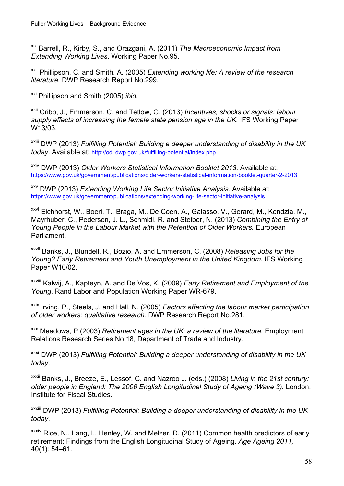$\overline{a}$ xix Barrell, R., Kirby, S., and Orazgani, A. (2011) *The Macroeconomic Impact from Extending Working Lives*. Working Paper No.95.

xx Phillipson, C. and Smith, A. (2005) *Extending working life: A review of the research literature.* DWP Research Report No.299.

xxi Phillipson and Smith (2005) *ibid.* 

xxii Cribb, J., Emmerson, C. and Tetlow, G. (2013) *Incentives, shocks or signals: labour*  supply effects of increasing the female state pension age in the UK. IFS Working Paper W13/03.

today, Available at: http://odi.dwp.gov.uk/fulfilling-potential/index.php xxiii DWP (2013) *Fulfilling Potential: Building a deeper understanding of disability in the UK* 

https://www.gov.uk/government/publications/older-workers-statistical-information-booklet-guarter-2-2013 <sup>xxiv</sup> DWP (2013) *Older Workers Statistical Information Booklet 2013*. Available at:

https://www.gov.uk/government/publications/extending-working-life-sector-initiative-analysis <sup>XXV</sup> DWP (2013) *Extending Working Life Sector Initiative Analysis.* Available at:

<sup>xxvi</sup> Eichhorst, W., Boeri, T., Braga, M., De Coen, A., Galasso, V., Gerard, M., Kendzia, M., Mayrhuber, C., Pedersen, J. L., Schmidl. R. and Steiber, N. (2013) *Combining the Entry of Young People in the Labour Market with the Retention of Older Workers.* European Parliament.

xxvii Banks, J., Blundell, R., Bozio, A. and Emmerson, C. (2008) *Releasing Jobs for the Young? Early Retirement and Youth Unemployment in the United Kingdom*. IFS Working Paper W10/02.

xxviii Kalwij, A., Kapteyn, A. and De Vos, K. (2009) *Early Retirement and Employment of the Young*. Rand Labor and Population Working Paper WR-679.

xxix Irving, P., Steels, J. and Hall, N. (2005) *Factors affecting the labour market participation of older workers: qualitative research.* DWP Research Report No.281.

xxx Meadows, P (2003) *Retirement ages in the UK: a review of the literature.* Employment Relations Research Series No.18, Department of Trade and Industry.

xxxi DWP (2013) *Fulfilling Potential: Building a deeper understanding of disability in the UK today*.

xxxii Banks, J., Breeze, E., Lessof, C. and Nazroo J. (eds.) (2008) *Living in the 21st century: older people in England: The 2006 English Longitudinal Study of Ageing (Wave 3).* London, Institute for Fiscal Studies.

xxxiii DWP (2013) *Fulfilling Potential: Building a deeper understanding of disability in the UK today*.

xxxiv Rice, N., Lang, I., Henley, W. and Melzer, D. (2011) Common health predictors of early retirement: Findings from the English Longitudinal Study of Ageing. *Age Ageing 2011,*  40(1): 54–61.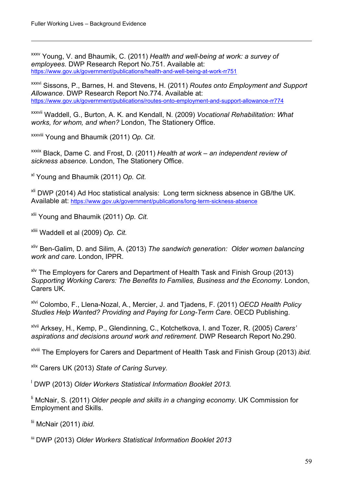$\overline{a}$ 

https://www.gov.uk/government/publications/health-and-well-being-at-work-rr751 xxxv Young, V. and Bhaumik, C. (2011) *Health and well-being at work: a survey of employees*. DWP Research Report No.751. Available at:

https://www.gov.uk/government/publications/routes-onto-employment-and-support-allowance-rr774 https://www.gosc.uk/government/publications/ment/publications. P., Barnes, H. (2011) *Routes onto Employment and Support Allowance*. DWP Research Report No.774. Available at:

<sup>xxxvii</sup> Waddell, G., Burton, A. K. and Kendall, N. (2009) Vocational Rehabilitation: What *works, for whom, and when?* London, The Stationery Office.

xxxviii Young and Bhaumik (2011) *Op. Cit*.

xxxix Black, Dame C. and Frost, D. (2011) *Health at work – an independent review of sickness absence.* London, The Stationery Office.

xl Young and Bhaumik (2011) *Op. Cit.*

Available at: https://www.gov.uk/government/publications/long-term-sickness-absence xli DWP (2014) Ad Hoc statistical analysis: Long term sickness absence in GB/the UK.

xlii Young and Bhaumik (2011) *Op. Cit.*

xliii Waddell et al (2009) *Op. Cit.*

xliv Ben-Galim, D. and Silim, A. (2013) *The sandwich generation: Older women balancing work and care.* London, IPPR.

 $x^{1/2}$  The Employers for Carers and Department of Health Task and Finish Group (2013) *Supporting Working Carers: The Benefits to Families, Business and the Economy.* London, Carers UK.

xlvi Colombo, F., Llena-Nozal, A., Mercier, J. and Tjadens, F. (2011) *OECD Health Policy Studies Help Wanted? Providing and Paying for Long-Term Care*. OECD Publishing.

xlvii Arksey, H., Kemp, P., Glendinning, C., Kotchetkova, I. and Tozer, R. (2005) *Carers' aspirations and decisions around work and retirement.* DWP Research Report No.290.

xlviii The Employers for Carers and Department of Health Task and Finish Group (2013) *ibid.* 

xlix Carers UK (2013) *State of Caring Survey.*

<sup>1</sup> DWP (2013) Older Workers Statistical Information Booklet 2013.

li McNair, S. (2011) *Older people and skills in a changing economy*. UK Commission for Employment and Skills.

lii McNair (2011) *ibid.* 

liii DWP (2013) *Older Workers Statistical Information Booklet 2013*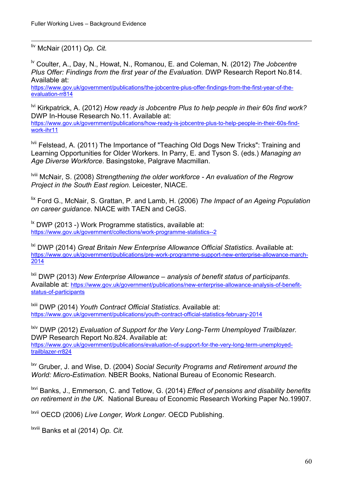$\overline{a}$ liv McNair (2011) *Op. Cit.* 

lv Coulter, A., Day, N., Howat, N., Romanou, E. and Coleman, N. (2012) *The Jobcentre Plus Offer: Findings from the first year of the Evaluation.* DWP Research Report No.814. Available at:

evaluation-rr814 https://www.gov.uk/government/publications/the-jobcentre-plus-offer-findings-from-the-first-year-of-the-

lvi Kirkpatrick, A. (2012) *How ready is Jobcentre Plus to help people in their 60s find work?*  DWP In-House Research No.11. Available at:

work-ihr11 https://www.gov.uk/government/publications/how-ready-is-jobcentre-plus-to-help-people-in-their-60s-find-

<sup>Ivii</sup> Felstead, A. (2011) The Importance of "Teaching Old Dogs New Tricks": Training and Learning Opportunities for Older Workers. In Parry, E. and Tyson S. (eds.) *Managing an Age Diverse Workforce*. Basingstoke, Palgrave Macmillan.

lviii McNair, S. (2008) *Strengthening the older workforce - An evaluation of the Regrow Project in the South East region.* Leicester, NIACE.

lix Ford G., McNair, S. Grattan, P. and Lamb, H. (2006) *The Impact of an Ageing Population on career guidance*. NIACE with TAEN and CeGS.

https://www.gov.uk/government/collections/work-programme-statistics--2  $\overline{a}$  DWP (2013 -) Work Programme statistics, available at:

 $2014$ <sup>ki</sup> DWP (2014) *Great Britain New Enterprise Allowance Official Statistics*. Available at: https://www.gov.uk/government/publications/pre-work-programme-support-new-enterprise-allowance-march-

<sup>1xii</sup> DWP (2013) *New Enterprise Allowance – analysis of benefit status of participants.* Available at: https://www.gov.uk/government/publications/new-enterprise-allowance-analysis-of-benefit[status-of-participants](https://www.gov.uk/government/publications/new-enterprise-allowance-analysis-of-benefit-status-of-participants) 

lxiii DWP (2014) *Youth Contract Official Statistics*. Available at: https://www.gov.uk/government/publications/youth-contract-official-statistics-february-2014

trailblazer-rr824 lxiv DWP (2012) *Evaluation of Support for the Very Long-Term Unemployed Trailblazer.*  DWP Research Report No.824. Available at: https://www.gov.uk/government/publications/evaluation-of-support-for-the-very-long-term-unemployed-

<sup>txv</sup> Gruber, J. and Wise, D. (2004) Social Security Programs and Retirement around the *World: Micro-Estimation.* NBER Books, National Bureau of Economic Research.

lxvi Banks, J., Emmerson, C. and Tetlow, G. (2014) *Effect of pensions and disability benefits on retirement in the UK.* National Bureau of Economic Research Working Paper No.19907.

lxvii OECD (2006) *Live Longer, Work Longer.* OECD Publishing.

lxviii Banks et al (2014) *Op. Cit.*